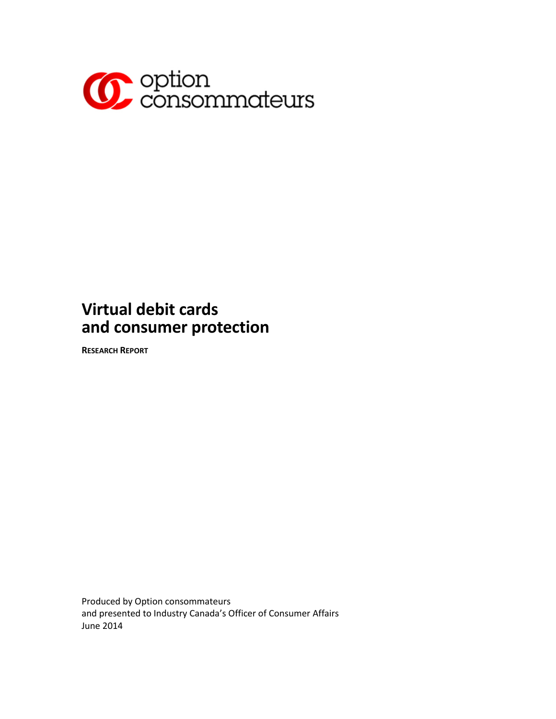

# **Virtual debit cards and consumer protection**

**RESEARCH REPORT**

Produced by Option consommateurs and presented to Industry Canada's Officer of Consumer Affairs June 2014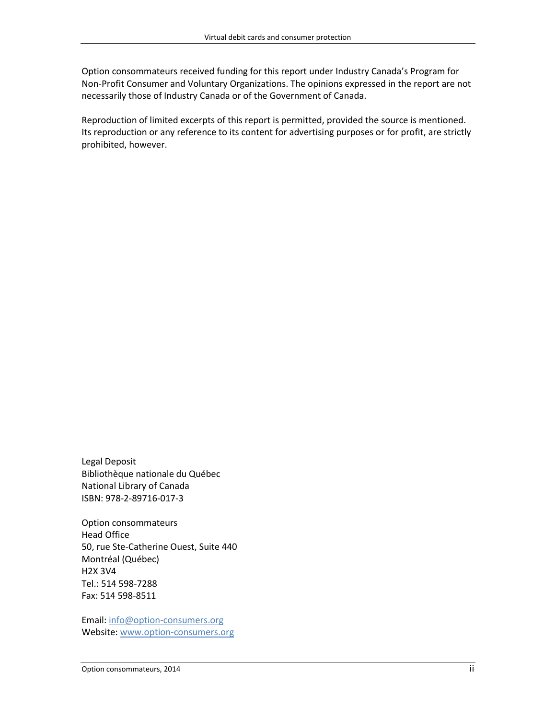Option consommateurs received funding for this report under Industry Canada's Program for Non-Profit Consumer and Voluntary Organizations. The opinions expressed in the report are not necessarily those of Industry Canada or of the Government of Canada.

Reproduction of limited excerpts of this report is permitted, provided the source is mentioned. Its reproduction or any reference to its content for advertising purposes or for profit, are strictly prohibited, however.

Legal Deposit Bibliothèque nationale du Québec National Library of Canada ISBN: 978-2-89716-017-3

Option consommateurs Head Office 50, rue Ste-Catherine Ouest, Suite 440 Montréal (Québec) H2X 3V4 Tel.: 514 598-7288 Fax: 514 598-8511

Email: [info@option-consumers.org](file:///C:/Users/ROY/AppData/Local/Temp/info@option-consommateurs.org) Website: [www.option-consumers.org](file:///C:/Users/ROY/AppData/Local/Temp/www.option-consommateurs.org)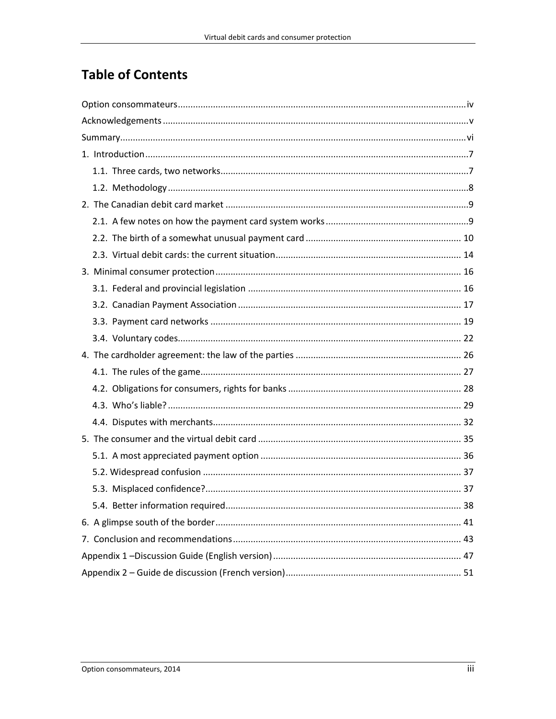# **Table of Contents**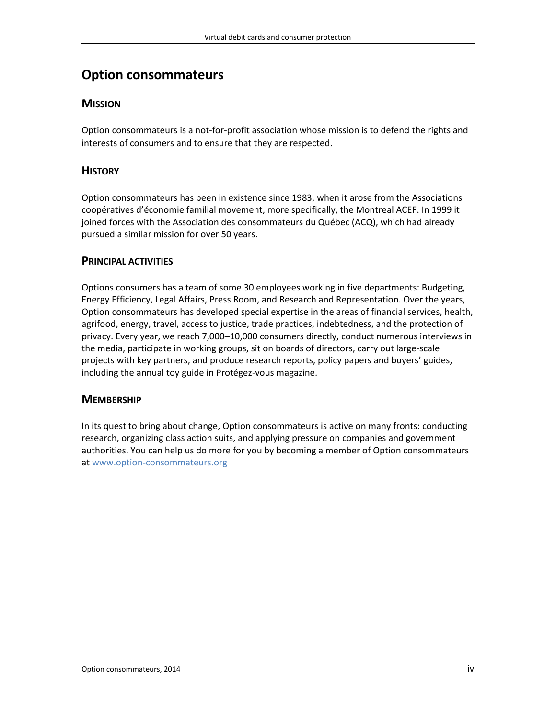## <span id="page-3-0"></span>**Option consommateurs**

### **MISSION**

Option consommateurs is a not-for-profit association whose mission is to defend the rights and interests of consumers and to ensure that they are respected.

### **HISTORY**

Option consommateurs has been in existence since 1983, when it arose from the Associations coopératives d'économie familial movement, more specifically, the Montreal ACEF. In 1999 it joined forces with the Association des consommateurs du Québec (ACQ), which had already pursued a similar mission for over 50 years.

### **PRINCIPAL ACTIVITIES**

Options consumers has a team of some 30 employees working in five departments: Budgeting, Energy Efficiency, Legal Affairs, Press Room, and Research and Representation. Over the years, Option consommateurs has developed special expertise in the areas of financial services, health, agrifood, energy, travel, access to justice, trade practices, indebtedness, and the protection of privacy. Every year, we reach 7,000–10,000 consumers directly, conduct numerous interviews in the media, participate in working groups, sit on boards of directors, carry out large-scale projects with key partners, and produce research reports, policy papers and buyers' guides, including the annual toy guide in Protégez-vous magazine.

### **MEMBERSHIP**

In its quest to bring about change, Option consommateurs is active on many fronts: conducting research, organizing class action suits, and applying pressure on companies and government authorities. You can help us do more for you by becoming a member of Option consommateurs at [www.option-consommateurs.org](http://www.option-consommateurs.org/)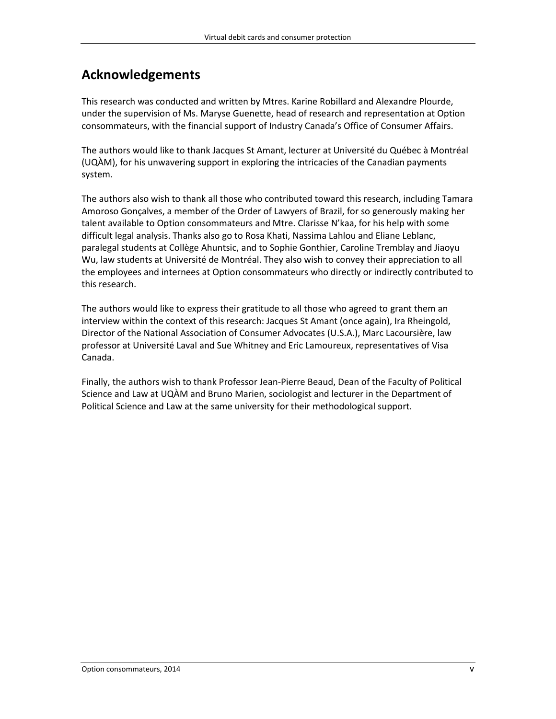## <span id="page-4-0"></span>**Acknowledgements**

This research was conducted and written by Mtres. Karine Robillard and Alexandre Plourde, under the supervision of Ms. Maryse Guenette, head of research and representation at Option consommateurs, with the financial support of Industry Canada's Office of Consumer Affairs.

The authors would like to thank Jacques St Amant, lecturer at Université du Québec à Montréal (UQÀM), for his unwavering support in exploring the intricacies of the Canadian payments system.

The authors also wish to thank all those who contributed toward this research, including Tamara Amoroso Gonçalves, a member of the Order of Lawyers of Brazil, for so generously making her talent available to Option consommateurs and Mtre. Clarisse N'kaa, for his help with some difficult legal analysis. Thanks also go to Rosa Khati, Nassima Lahlou and Eliane Leblanc, paralegal students at Collège Ahuntsic, and to Sophie Gonthier, Caroline Tremblay and Jiaoyu Wu, law students at Université de Montréal. They also wish to convey their appreciation to all the employees and internees at Option consommateurs who directly or indirectly contributed to this research.

The authors would like to express their gratitude to all those who agreed to grant them an interview within the context of this research: Jacques St Amant (once again), Ira Rheingold, Director of the National Association of Consumer Advocates (U.S.A.), Marc Lacoursière, law professor at Université Laval and Sue Whitney and Eric Lamoureux, representatives of Visa Canada.

Finally, the authors wish to thank Professor Jean-Pierre Beaud, Dean of the Faculty of Political Science and Law at UQÀM and Bruno Marien, sociologist and lecturer in the Department of Political Science and Law at the same university for their methodological support.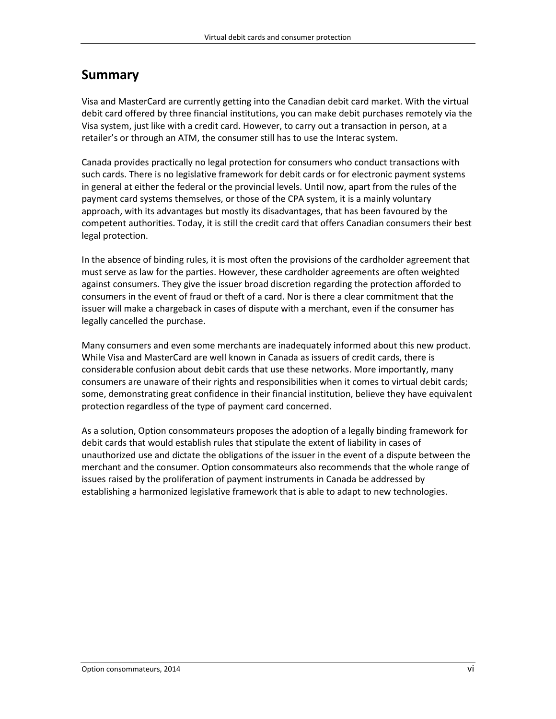## <span id="page-5-0"></span>**Summary**

Visa and MasterCard are currently getting into the Canadian debit card market. With the virtual debit card offered by three financial institutions, you can make debit purchases remotely via the Visa system, just like with a credit card. However, to carry out a transaction in person, at a retailer's or through an ATM, the consumer still has to use the Interac system.

Canada provides practically no legal protection for consumers who conduct transactions with such cards. There is no legislative framework for debit cards or for electronic payment systems in general at either the federal or the provincial levels. Until now, apart from the rules of the payment card systems themselves, or those of the CPA system, it is a mainly voluntary approach, with its advantages but mostly its disadvantages, that has been favoured by the competent authorities. Today, it is still the credit card that offers Canadian consumers their best legal protection.

In the absence of binding rules, it is most often the provisions of the cardholder agreement that must serve as law for the parties. However, these cardholder agreements are often weighted against consumers. They give the issuer broad discretion regarding the protection afforded to consumers in the event of fraud or theft of a card. Nor is there a clear commitment that the issuer will make a chargeback in cases of dispute with a merchant, even if the consumer has legally cancelled the purchase.

Many consumers and even some merchants are inadequately informed about this new product. While Visa and MasterCard are well known in Canada as issuers of credit cards, there is considerable confusion about debit cards that use these networks. More importantly, many consumers are unaware of their rights and responsibilities when it comes to virtual debit cards; some, demonstrating great confidence in their financial institution, believe they have equivalent protection regardless of the type of payment card concerned.

As a solution, Option consommateurs proposes the adoption of a legally binding framework for debit cards that would establish rules that stipulate the extent of liability in cases of unauthorized use and dictate the obligations of the issuer in the event of a dispute between the merchant and the consumer. Option consommateurs also recommends that the whole range of issues raised by the proliferation of payment instruments in Canada be addressed by establishing a harmonized legislative framework that is able to adapt to new technologies.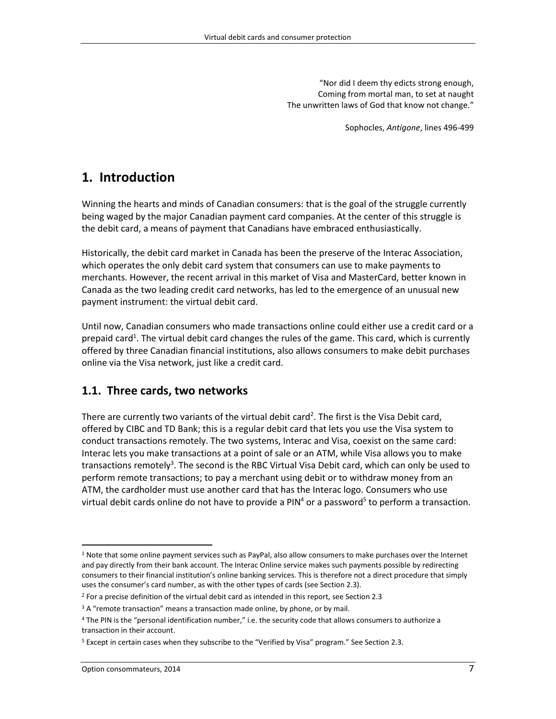"Nor did I deem thy edicts strong enough, Coming from mortal man, to set at naught The unwritten laws of God that know not change."

Sophocles, *Antigone*, lines 496-499

## <span id="page-6-0"></span>**1. Introduction**

Winning the hearts and minds of Canadian consumers: that is the goal of the struggle currently being waged by the major Canadian payment card companies. At the center of this struggle is the debit card, a means of payment that Canadians have embraced enthusiastically.

Historically, the debit card market in Canada has been the preserve of the Interac Association, which operates the only debit card system that consumers can use to make payments to merchants. However, the recent arrival in this market of Visa and MasterCard, better known in Canada as the two leading credit card networks, has led to the emergence of an unusual new payment instrument: the virtual debit card.

Until now, Canadian consumers who made transactions online could either use a credit card or a prepaid card<sup>1</sup>. The virtual debit card changes the rules of the game. This card, which is currently offered by three Canadian financial institutions, also allows consumers to make debit purchases online via the Visa network, just like a credit card.

### <span id="page-6-1"></span>**1.1. Three cards, two networks**

There are currently two variants of the virtual debit card<sup>2</sup>. The first is the Visa Debit card, offered by CIBC and TD Bank; this is a regular debit card that lets you use the Visa system to conduct transactions remotely. The two systems, Interac and Visa, coexist on the same card: Interac lets you make transactions at a point of sale or an ATM, while Visa allows you to make transactions remotely<sup>3</sup>. The second is the RBC Virtual Visa Debit card, which can only be used to perform remote transactions; to pay a merchant using debit or to withdraw money from an ATM, the cardholder must use another card that has the Interac logo. Consumers who use virtual debit cards online do not have to provide a PIN<sup>4</sup> or a password<sup>5</sup> to perform a transaction.

 $1$  Note that some online payment services such as PayPal, also allow consumers to make purchases over the Internet and pay directly from their bank account. The Interac Online service makes such payments possible by redirecting consumers to their financial institution's online banking services. This is therefore not a direct procedure that simply uses the consumer's card number, as with the other types of cards (see Section 2.3).

 $2$  For a precise definition of the virtual debit card as intended in this report, see Section 2.3

<sup>&</sup>lt;sup>3</sup> A "remote transaction" means a transaction made online, by phone, or by mail.

<sup>4</sup> The PIN is the "personal identification number," i.e. the security code that allows consumers to authorize a transaction in their account.

<sup>&</sup>lt;sup>5</sup> Except in certain cases when they subscribe to the "Verified by Visa" program." See Section 2.3.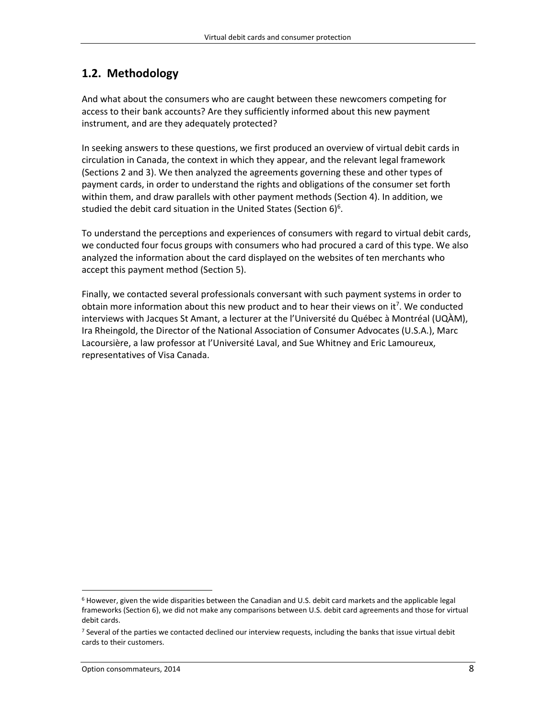## <span id="page-7-0"></span>**1.2. Methodology**

And what about the consumers who are caught between these newcomers competing for access to their bank accounts? Are they sufficiently informed about this new payment instrument, and are they adequately protected?

In seeking answers to these questions, we first produced an overview of virtual debit cards in circulation in Canada, the context in which they appear, and the relevant legal framework (Sections 2 and 3). We then analyzed the agreements governing these and other types of payment cards, in order to understand the rights and obligations of the consumer set forth within them, and draw parallels with other payment methods (Section 4). In addition, we studied the debit card situation in the United States (Section 6) $6$ .

To understand the perceptions and experiences of consumers with regard to virtual debit cards, we conducted four focus groups with consumers who had procured a card of this type. We also analyzed the information about the card displayed on the websites of ten merchants who accept this payment method (Section 5).

Finally, we contacted several professionals conversant with such payment systems in order to obtain more information about this new product and to hear their views on it<sup>7</sup>. We conducted interviews with Jacques St Amant, a lecturer at the l'Université du Québec à Montréal (UQÀM), Ira Rheingold, the Director of the National Association of Consumer Advocates (U.S.A.), Marc Lacoursière, a law professor at l'Université Laval, and Sue Whitney and Eric Lamoureux, representatives of Visa Canada.

<sup>6</sup> However, given the wide disparities between the Canadian and U.S. debit card markets and the applicable legal frameworks (Section 6), we did not make any comparisons between U.S. debit card agreements and those for virtual debit cards.

<sup>&</sup>lt;sup>7</sup> Several of the parties we contacted declined our interview requests, including the banks that issue virtual debit cards to their customers.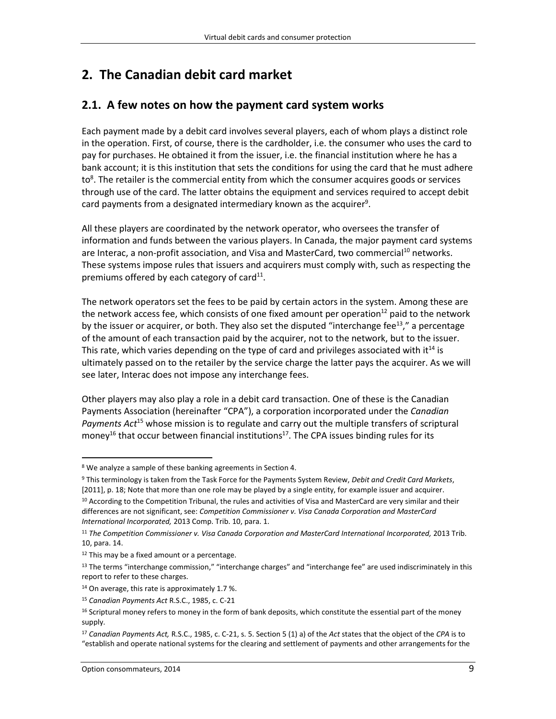## <span id="page-8-0"></span>**2. The Canadian debit card market**

### <span id="page-8-1"></span>**2.1. A few notes on how the payment card system works**

Each payment made by a debit card involves several players, each of whom plays a distinct role in the operation. First, of course, there is the cardholder, i.e. the consumer who uses the card to pay for purchases. He obtained it from the issuer, i.e. the financial institution where he has a bank account; it is this institution that sets the conditions for using the card that he must adhere to<sup>8</sup>. The retailer is the commercial entity from which the consumer acquires goods or services through use of the card. The latter obtains the equipment and services required to accept debit card payments from a designated intermediary known as the acquirer $9$ .

All these players are coordinated by the network operator, who oversees the transfer of information and funds between the various players. In Canada, the major payment card systems are Interac, a non-profit association, and Visa and MasterCard, two commercial<sup>10</sup> networks. These systems impose rules that issuers and acquirers must comply with, such as respecting the premiums offered by each category of card<sup>11</sup>.

The network operators set the fees to be paid by certain actors in the system. Among these are the network access fee, which consists of one fixed amount per operation $^{12}$  paid to the network by the issuer or acquirer, or both. They also set the disputed "interchange fee<sup>13</sup>," a percentage of the amount of each transaction paid by the acquirer, not to the network, but to the issuer. This rate, which varies depending on the type of card and privileges associated with it<sup>14</sup> is ultimately passed on to the retailer by the service charge the latter pays the acquirer. As we will see later, Interac does not impose any interchange fees.

Other players may also play a role in a debit card transaction. One of these is the Canadian Payments Association (hereinafter "CPA"), a corporation incorporated under the *Canadian Payments Act*<sup>15</sup> whose mission is to regulate and carry out the multiple transfers of scriptural money<sup>16</sup> that occur between financial institutions<sup>17</sup>. The CPA issues binding rules for its

<sup>8</sup> We analyze a sample of these banking agreements in Section 4.

<sup>9</sup> This terminology is taken from the Task Force for the Payments System Review, *Debit and Credit Card Markets*, [2011], p. 18; Note that more than one role may be played by a single entity, for example issuer and acquirer.

 $10$  According to the Competition Tribunal, the rules and activities of Visa and MasterCard are very similar and their differences are not significant, see: *Competition Commissioner v. Visa Canada Corporation and MasterCard International Incorporated,* 2013 Comp. Trib. 10, para. 1.

<sup>11</sup> *The Competition Commissioner v. Visa Canada Corporation and MasterCard International Incorporated,* 2013 Trib. 10, para. 14.

<sup>&</sup>lt;sup>12</sup> This may be a fixed amount or a percentage.

<sup>&</sup>lt;sup>13</sup> The terms "interchange commission," "interchange charges" and "interchange fee" are used indiscriminately in this report to refer to these charges.

<sup>14</sup> On average, this rate is approximately 1.7 %.

<sup>15</sup> *Canadian Payments Act* R.S.C., 1985, c. C-21

<sup>&</sup>lt;sup>16</sup> Scriptural money refers to money in the form of bank deposits, which constitute the essential part of the money supply.

<sup>17</sup> *Canadian Payments Act,* R.S.C., 1985, c. C-21, s. 5. Section 5 (1) a) of the *Act* states that the object of the *CPA* is to "establish and operate national systems for the clearing and settlement of payments and other arrangements for the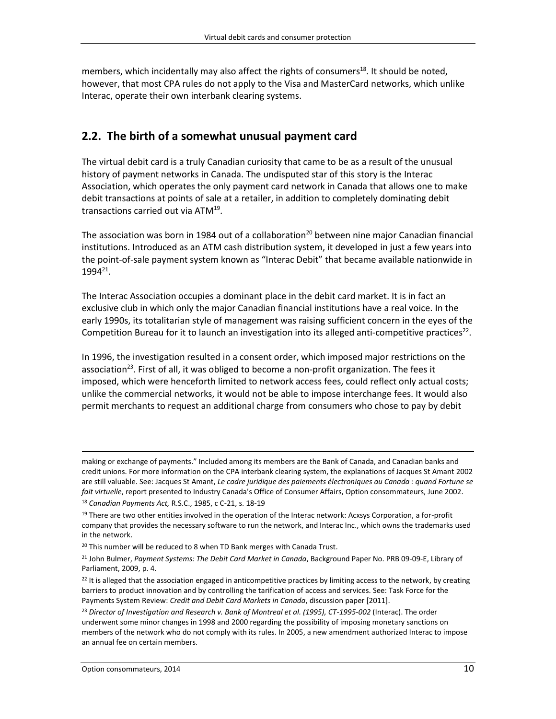members, which incidentally may also affect the rights of consumers<sup>18</sup>. It should be noted, however, that most CPA rules do not apply to the Visa and MasterCard networks, which unlike Interac, operate their own interbank clearing systems.

## <span id="page-9-0"></span>**2.2. The birth of a somewhat unusual payment card**

The virtual debit card is a truly Canadian curiosity that came to be as a result of the unusual history of payment networks in Canada. The undisputed star of this story is the Interac Association, which operates the only payment card network in Canada that allows one to make debit transactions at points of sale at a retailer, in addition to completely dominating debit transactions carried out via ATM<sup>19</sup>.

The association was born in 1984 out of a collaboration<sup>20</sup> between nine major Canadian financial institutions. Introduced as an ATM cash distribution system, it developed in just a few years into the point-of-sale payment system known as "Interac Debit" that became available nationwide in  $1994^{21}$ .

The Interac Association occupies a dominant place in the debit card market. It is in fact an exclusive club in which only the major Canadian financial institutions have a real voice. In the early 1990s, its totalitarian style of management was raising sufficient concern in the eyes of the Competition Bureau for it to launch an investigation into its alleged anti-competitive practices<sup>22</sup>.

In 1996, the investigation resulted in a consent order, which imposed major restrictions on the association<sup>23</sup>. First of all, it was obliged to become a non-profit organization. The fees it imposed, which were henceforth limited to network access fees, could reflect only actual costs; unlike the commercial networks, it would not be able to impose interchange fees. It would also permit merchants to request an additional charge from consumers who chose to pay by debit

 $\overline{a}$ 

making or exchange of payments." Included among its members are the Bank of Canada, and Canadian banks and credit unions. For more information on the CPA interbank clearing system, the explanations of Jacques St Amant 2002 are still valuable. See: Jacques St Amant, *Le cadre juridique des paiements électroniques au Canada : quand Fortune se fait virtuelle*, report presented to Industry Canada's Office of Consumer Affairs, Option consommateurs, June 2002.

<sup>18</sup> *Canadian Payments Act,* R.S.C., 1985, c C-21, s. 18-19

 $19$  There are two other entities involved in the operation of the Interac network: Acxsys Corporation, a for-profit company that provides the necessary software to run the network, and Interac Inc., which owns the trademarks used in the network.

<sup>&</sup>lt;sup>20</sup> This number will be reduced to 8 when TD Bank merges with Canada Trust.

<sup>21</sup> John Bulmer, *Payment Systems: The Debit Card Market in Canada*, Background Paper No. PRB 09-09-E, Library of Parliament, 2009, p. 4.

 $22$  It is alleged that the association engaged in anticompetitive practices by limiting access to the network, by creating barriers to product innovation and by controlling the tarification of access and services. See: Task Force for the Payments System Review: *Credit and Debit Card Markets in Canada*, discussion paper [2011].

<sup>&</sup>lt;sup>23</sup> Director of Investigation and Research v. Bank of Montreal et al. (1995), CT-1995-002 (Interac). The order underwent some minor changes in 1998 and 2000 regarding the possibility of imposing monetary sanctions on members of the network who do not comply with its rules. In 2005, a new amendment authorized Interac to impose an annual fee on certain members.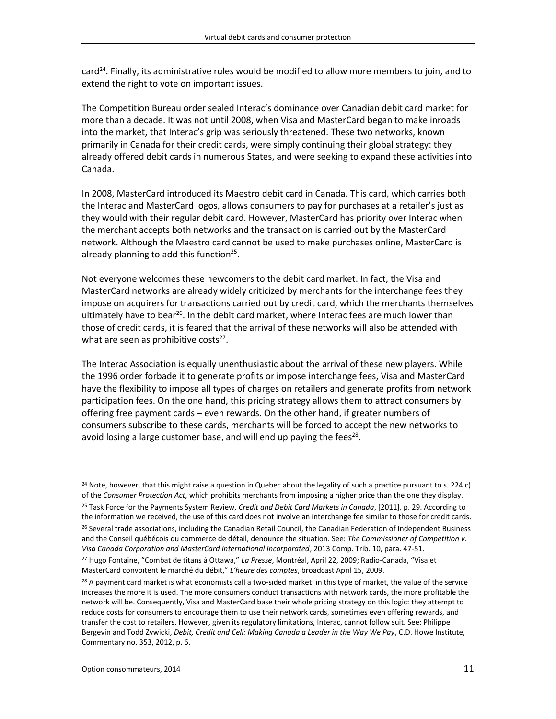card<sup>24</sup>. Finally, its administrative rules would be modified to allow more members to join, and to extend the right to vote on important issues.

The Competition Bureau order sealed Interac's dominance over Canadian debit card market for more than a decade. It was not until 2008, when Visa and MasterCard began to make inroads into the market, that Interac's grip was seriously threatened. These two networks, known primarily in Canada for their credit cards, were simply continuing their global strategy: they already offered debit cards in numerous States, and were seeking to expand these activities into Canada.

In 2008, MasterCard introduced its Maestro debit card in Canada. This card, which carries both the Interac and MasterCard logos, allows consumers to pay for purchases at a retailer's just as they would with their regular debit card. However, MasterCard has priority over Interac when the merchant accepts both networks and the transaction is carried out by the MasterCard network. Although the Maestro card cannot be used to make purchases online, MasterCard is already planning to add this function<sup>25</sup>.

Not everyone welcomes these newcomers to the debit card market. In fact, the Visa and MasterCard networks are already widely criticized by merchants for the interchange fees they impose on acquirers for transactions carried out by credit card, which the merchants themselves ultimately have to bear<sup>26</sup>. In the debit card market, where Interac fees are much lower than those of credit cards, it is feared that the arrival of these networks will also be attended with what are seen as prohibitive costs<sup>27</sup>.

The Interac Association is equally unenthusiastic about the arrival of these new players. While the 1996 order forbade it to generate profits or impose interchange fees, Visa and MasterCard have the flexibility to impose all types of charges on retailers and generate profits from network participation fees. On the one hand, this pricing strategy allows them to attract consumers by offering free payment cards – even rewards. On the other hand, if greater numbers of consumers subscribe to these cards, merchants will be forced to accept the new networks to avoid losing a large customer base, and will end up paying the fees<sup>28</sup>.

 $24$  Note, however, that this might raise a question in Quebec about the legality of such a practice pursuant to s. 224 c) of the *Consumer Protection Act*, which prohibits merchants from imposing a higher price than the one they display. <sup>25</sup> Task Force for the Payments System Review, *Credit and Debit Card Markets in Canada*, [2011], p. 29. According to the information we received, the use of this card does not involve an interchange fee similar to those for credit cards. <sup>26</sup> Several trade associations, including the Canadian Retail Council, the Canadian Federation of Independent Business and the Conseil québécois du commerce de détail, denounce the situation. See: *The Commissioner of Competition v. Visa Canada Corporation and MasterCard International Incorporated*, 2013 Comp. Trib. 10, para. 47-51.

<sup>27</sup> Hugo Fontaine, "Combat de titans à Ottawa," *La Presse*, Montréal, April 22, 2009; Radio-Canada, "Visa et MasterCard convoitent le marché du débit," *L'heure des comptes*, broadcast April 15, 2009.

 $28$  A payment card market is what economists call a two-sided market: in this type of market, the value of the service increases the more it is used. The more consumers conduct transactions with network cards, the more profitable the network will be. Consequently, Visa and MasterCard base their whole pricing strategy on this logic: they attempt to reduce costs for consumers to encourage them to use their network cards, sometimes even offering rewards, and transfer the cost to retailers. However, given its regulatory limitations, Interac, cannot follow suit. See: Philippe Bergevin and Todd Zywicki, *Debit, Credit and Cell: Making Canada a Leader in the Way We Pay*, C.D. Howe Institute, Commentary no. 353, 2012, p. 6.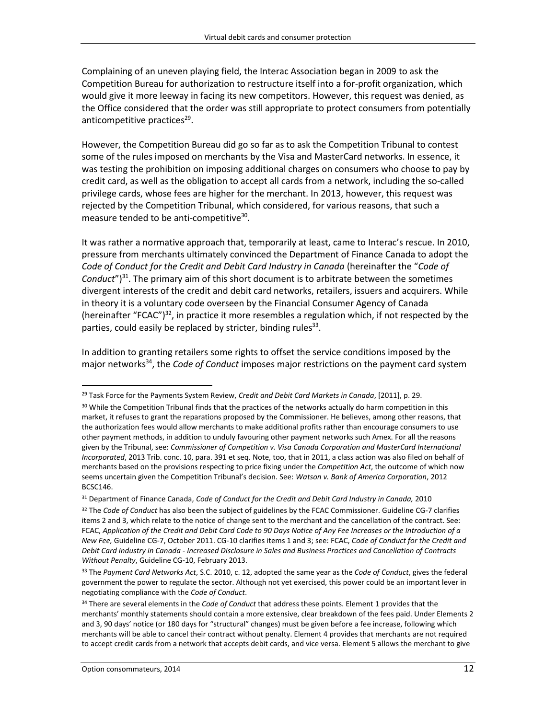Complaining of an uneven playing field, the Interac Association began in 2009 to ask the Competition Bureau for authorization to restructure itself into a for-profit organization, which would give it more leeway in facing its new competitors. However, this request was denied, as the Office considered that the order was still appropriate to protect consumers from potentially anticompetitive practices<sup>29</sup>.

However, the Competition Bureau did go so far as to ask the Competition Tribunal to contest some of the rules imposed on merchants by the Visa and MasterCard networks. In essence, it was testing the prohibition on imposing additional charges on consumers who choose to pay by credit card, as well as the obligation to accept all cards from a network, including the so-called privilege cards, whose fees are higher for the merchant. In 2013, however, this request was rejected by the Competition Tribunal, which considered, for various reasons, that such a measure tended to be anti-competitive<sup>30</sup>.

It was rather a normative approach that, temporarily at least, came to Interac's rescue. In 2010, pressure from merchants ultimately convinced the Department of Finance Canada to adopt the *Code of Conduct for the Credit and Debit Card Industry in Canada* (hereinafter the "*Code of Conduct*") <sup>31</sup>. The primary aim of this short document is to arbitrate between the sometimes divergent interests of the credit and debit card networks, retailers, issuers and acquirers. While in theory it is a voluntary code overseen by the Financial Consumer Agency of Canada (hereinafter "FCAC")<sup>32</sup>, in practice it more resembles a regulation which, if not respected by the parties, could easily be replaced by stricter, binding rules<sup>33</sup>.

In addition to granting retailers some rights to offset the service conditions imposed by the major networks<sup>34</sup>, the *Code of Conduct* imposes major restrictions on the payment card system

<sup>29</sup> Task Force for the Payments System Review, *Credit and Debit Card Markets in Canada*, [2011], p. 29.

<sup>&</sup>lt;sup>30</sup> While the Competition Tribunal finds that the practices of the networks actually do harm competition in this market, it refuses to grant the reparations proposed by the Commissioner. He believes, among other reasons, that the authorization fees would allow merchants to make additional profits rather than encourage consumers to use other payment methods, in addition to unduly favouring other payment networks such Amex. For all the reasons given by the Tribunal, see: *Commissioner of Competition v. Visa Canada Corporation and MasterCard International Incorporated*, 2013 Trib. conc. 10, para. 391 et seq. Note, too, that in 2011, a class action was also filed on behalf of merchants based on the provisions respecting to price fixing under the *Competition Act*, the outcome of which now seems uncertain given the Competition Tribunal's decision. See: *Watson v. Bank of America Corporation*, 2012 BCSC146.

<sup>31</sup> Department of Finance Canada, *Code of Conduct for the Credit and Debit Card Industry in Canada,* 2010

<sup>32</sup> The *Code of Conduct* has also been the subject of guidelines by the FCAC Commissioner. Guideline CG-7 clarifies items 2 and 3, which relate to the notice of change sent to the merchant and the cancellation of the contract. See: FCAC, *Application of the Credit and Debit Card Code to 90 Days Notice of Any Fee Increases or the Introduction of a New Fee,* Guideline CG-7, October 2011. CG-10 clarifies items 1 and 3; see: FCAC, *Code of Conduct for the Credit and Debit Card Industry in Canada - Increased Disclosure in Sales and Business Practices and Cancellation of Contracts Without Penalty*, Guideline CG-10, February 2013.

<sup>33</sup> The *Payment Card Networks Act*, S.C. 2010, c. 12, adopted the same year as the *Code of Conduct*, gives the federal government the power to regulate the sector. Although not yet exercised, this power could be an important lever in negotiating compliance with the *Code of Conduct*.

<sup>34</sup> There are several elements in the *Code of Conduct* that address these points. Element 1 provides that the merchants' monthly statements should contain a more extensive, clear breakdown of the fees paid. Under Elements 2 and 3, 90 days' notice (or 180 days for "structural" changes) must be given before a fee increase, following which merchants will be able to cancel their contract without penalty. Element 4 provides that merchants are not required to accept credit cards from a network that accepts debit cards, and vice versa. Element 5 allows the merchant to give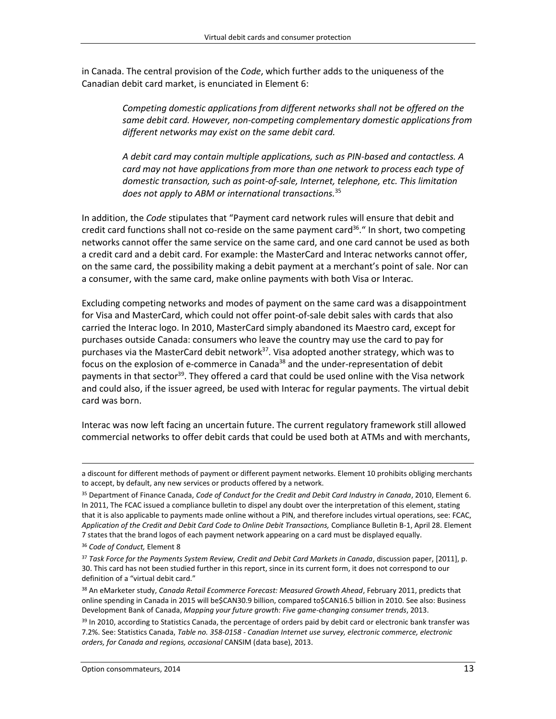in Canada. The central provision of the *Code*, which further adds to the uniqueness of the Canadian debit card market, is enunciated in Element 6:

> *Competing domestic applications from different networks shall not be offered on the same debit card. However, non-competing complementary domestic applications from different networks may exist on the same debit card.*

*A debit card may contain multiple applications, such as PIN-based and contactless. A card may not have applications from more than one network to process each type of domestic transaction, such as point-of-sale, Internet, telephone, etc. This limitation does not apply to ABM or international transactions.*<sup>35</sup>

In addition, the *Code* stipulates that "Payment card network rules will ensure that debit and credit card functions shall not co-reside on the same payment card<sup>36</sup>." In short, two competing networks cannot offer the same service on the same card, and one card cannot be used as both a credit card and a debit card. For example: the MasterCard and Interac networks cannot offer, on the same card, the possibility making a debit payment at a merchant's point of sale. Nor can a consumer, with the same card, make online payments with both Visa or Interac.

Excluding competing networks and modes of payment on the same card was a disappointment for Visa and MasterCard, which could not offer point-of-sale debit sales with cards that also carried the Interac logo. In 2010, MasterCard simply abandoned its Maestro card, except for purchases outside Canada: consumers who leave the country may use the card to pay for purchases via the MasterCard debit network<sup>37</sup>. Visa adopted another strategy, which was to focus on the explosion of e-commerce in Canada<sup>38</sup> and the under-representation of debit payments in that sector<sup>39</sup>. They offered a card that could be used online with the Visa network and could also, if the issuer agreed, be used with Interac for regular payments. The virtual debit card was born.

Interac was now left facing an uncertain future. The current regulatory framework still allowed commercial networks to offer debit cards that could be used both at ATMs and with merchants,

a discount for different methods of payment or different payment networks. Element 10 prohibits obliging merchants to accept, by default, any new services or products offered by a network.

<sup>35</sup> Department of Finance Canada, *Code of Conduct for the Credit and Debit Card Industry in Canada*, 2010, Element 6. In 2011, The FCAC issued a compliance bulletin to dispel any doubt over the interpretation of this element, stating that it is also applicable to payments made online without a PIN, and therefore includes virtual operations, see: FCAC, *Application of the Credit and Debit Card Code to Online Debit Transactions,* Compliance Bulletin B-1, April 28. Element 7 states that the brand logos of each payment network appearing on a card must be displayed equally.

<sup>36</sup> *Code of Conduct,* Element 8

<sup>37</sup> *Task Force for the Payments System Review, Credit and Debit Card Markets in Canada*, discussion paper, [2011], p. 30. This card has not been studied further in this report, since in its current form, it does not correspond to our definition of a "virtual debit card."

<sup>38</sup> An eMarketer study, *Canada Retail Ecommerce Forecast: Measured Growth Ahead*, February 2011, predicts that online spending in Canada in 2015 will be\$CAN30.9 billion, compared to\$CAN16.5 billion in 2010. See also: Business Development Bank of Canada, *Mapping your future growth: Five game-changing consumer trends*, 2013.

<sup>&</sup>lt;sup>39</sup> In 2010, according to Statistics Canada, the percentage of orders paid by debit card or electronic bank transfer was 7.2%. See: Statistics Canada, *Table no. 358-0158 - Canadian Internet use survey, electronic commerce, electronic orders, for Canada and regions, occasional* CANSIM (data base), 2013.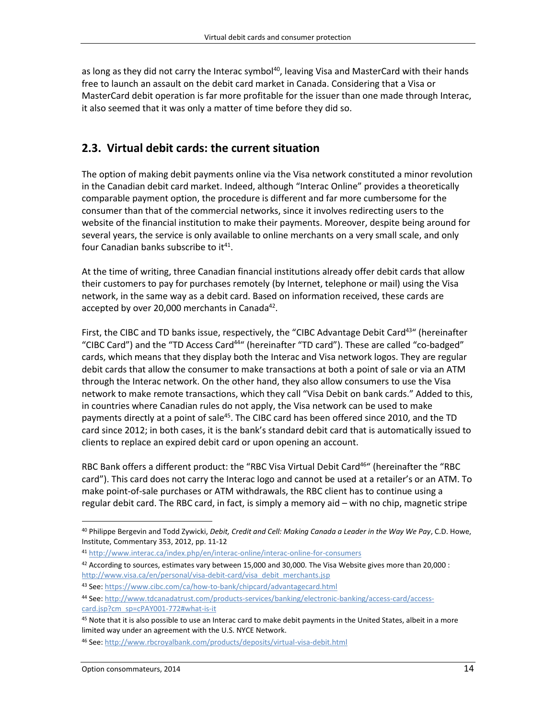as long as they did not carry the Interac symbol<sup>40</sup>, leaving Visa and MasterCard with their hands free to launch an assault on the debit card market in Canada. Considering that a Visa or MasterCard debit operation is far more profitable for the issuer than one made through Interac, it also seemed that it was only a matter of time before they did so.

### <span id="page-13-0"></span>**2.3. Virtual debit cards: the current situation**

The option of making debit payments online via the Visa network constituted a minor revolution in the Canadian debit card market. Indeed, although "Interac Online" provides a theoretically comparable payment option, the procedure is different and far more cumbersome for the consumer than that of the commercial networks, since it involves redirecting users to the website of the financial institution to make their payments. Moreover, despite being around for several years, the service is only available to online merchants on a very small scale, and only four Canadian banks subscribe to it $41$ .

At the time of writing, three Canadian financial institutions already offer debit cards that allow their customers to pay for purchases remotely (by Internet, telephone or mail) using the Visa network, in the same way as a debit card. Based on information received, these cards are accepted by over 20,000 merchants in Canada<sup>42</sup>.

First, the CIBC and TD banks issue, respectively, the "CIBC Advantage Debit Card<sup>43</sup>" (hereinafter "CIBC Card") and the "TD Access Card<sup>44</sup>" (hereinafter "TD card"). These are called "co-badged" cards, which means that they display both the Interac and Visa network logos. They are regular debit cards that allow the consumer to make transactions at both a point of sale or via an ATM through the Interac network. On the other hand, they also allow consumers to use the Visa network to make remote transactions, which they call "Visa Debit on bank cards." Added to this, in countries where Canadian rules do not apply, the Visa network can be used to make payments directly at a point of sale<sup>45</sup>. The CIBC card has been offered since 2010, and the TD card since 2012; in both cases, it is the bank's standard debit card that is automatically issued to clients to replace an expired debit card or upon opening an account.

RBC Bank offers a different product: the "RBC Visa Virtual Debit Card<sup>46</sup>" (hereinafter the "RBC card"). This card does not carry the Interac logo and cannot be used at a retailer's or an ATM. To make point-of-sale purchases or ATM withdrawals, the RBC client has to continue using a regular debit card. The RBC card, in fact, is simply a memory aid – with no chip, magnetic stripe

 $\overline{a}$ <sup>40</sup> Philippe Bergevin and Todd Zywicki, *Debit, Credit and Cell: Making Canada a Leader in the Way We Pay*, C.D. Howe, Institute, Commentary 353, 2012, pp. 11-12

<sup>41</sup> <http://www.interac.ca/index.php/en/interac-online/interac-online-for-consumers>

<sup>42</sup> According to sources, estimates vary between 15,000 and 30,000. The Visa Website gives more than 20,000 : [http://www.visa.ca/en/personal/visa-debit-card/visa\\_debit\\_merchants.jsp](http://www.visa.ca/en/personal/visa-debit-card/visa_debit_merchants.jsp)

<sup>43</sup> See[: https://www.cibc.com/ca/how-to-bank/chipcard/advantagecard.html](https://www.cibc.com/ca/how-to-bank/chipcard/advantagecard.html) 

<sup>44</sup> See[: http://www.tdcanadatrust.com/products-services/banking/electronic-banking/access-card/access](http://www.tdcanadatrust.com/products-services/banking/electronic-banking/access-card/access-card.jsp?cm_sp=cPAY001-772%23what-is-it)[card.jsp?cm\\_sp=cPAY001-772#what-is-it](http://www.tdcanadatrust.com/products-services/banking/electronic-banking/access-card/access-card.jsp?cm_sp=cPAY001-772%23what-is-it)

 $45$  Note that it is also possible to use an Interac card to make debit payments in the United States, albeit in a more limited way under an agreement with the U.S. NYCE Network.

<sup>46</sup> See[: http://www.rbcroyalbank.com/products/deposits/virtual-visa-debit.html](http://www.rbcroyalbank.com/products/deposits/virtual-visa-debit.html)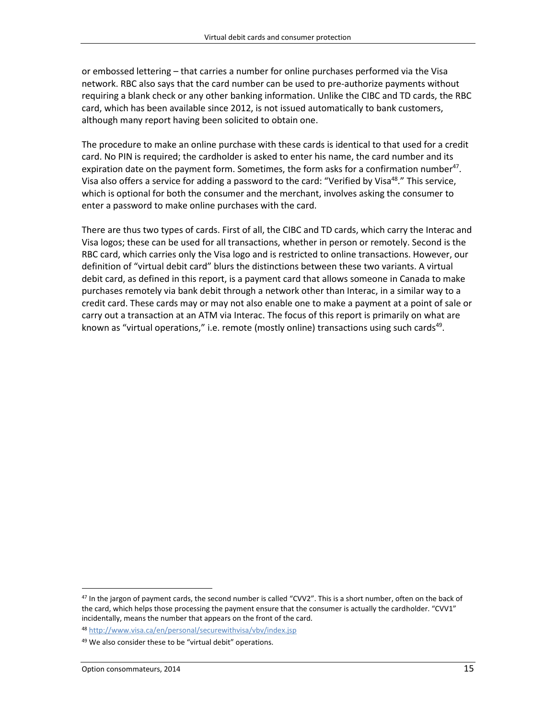or embossed lettering – that carries a number for online purchases performed via the Visa network. RBC also says that the card number can be used to pre-authorize payments without requiring a blank check or any other banking information. Unlike the CIBC and TD cards, the RBC card, which has been available since 2012, is not issued automatically to bank customers, although many report having been solicited to obtain one.

The procedure to make an online purchase with these cards is identical to that used for a credit card. No PIN is required; the cardholder is asked to enter his name, the card number and its expiration date on the payment form. Sometimes, the form asks for a confirmation number<sup>47</sup>. Visa also offers a service for adding a password to the card: "Verified by Visa<sup>48</sup>." This service, which is optional for both the consumer and the merchant, involves asking the consumer to enter a password to make online purchases with the card.

There are thus two types of cards. First of all, the CIBC and TD cards, which carry the Interac and Visa logos; these can be used for all transactions, whether in person or remotely. Second is the RBC card, which carries only the Visa logo and is restricted to online transactions. However, our definition of "virtual debit card" blurs the distinctions between these two variants. A virtual debit card, as defined in this report, is a payment card that allows someone in Canada to make purchases remotely via bank debit through a network other than Interac, in a similar way to a credit card. These cards may or may not also enable one to make a payment at a point of sale or carry out a transaction at an ATM via Interac. The focus of this report is primarily on what are known as "virtual operations," i.e. remote (mostly online) transactions using such cards<sup>49</sup>.

l

<sup>&</sup>lt;sup>47</sup> In the jargon of payment cards, the second number is called "CVV2". This is a short number, often on the back of the card, which helps those processing the payment ensure that the consumer is actually the cardholder. "CVV1" incidentally, means the number that appears on the front of the card.

<sup>48</sup> <http://www.visa.ca/en/personal/securewithvisa/vbv/index.jsp>

<sup>&</sup>lt;sup>49</sup> We also consider these to be "virtual debit" operations.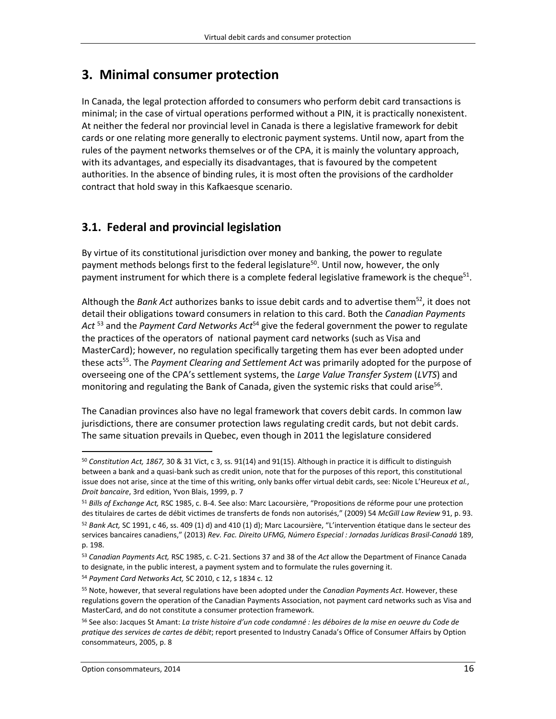## <span id="page-15-0"></span>**3. Minimal consumer protection**

In Canada, the legal protection afforded to consumers who perform debit card transactions is minimal; in the case of virtual operations performed without a PIN, it is practically nonexistent. At neither the federal nor provincial level in Canada is there a legislative framework for debit cards or one relating more generally to electronic payment systems. Until now, apart from the rules of the payment networks themselves or of the CPA, it is mainly the voluntary approach, with its advantages, and especially its disadvantages, that is favoured by the competent authorities. In the absence of binding rules, it is most often the provisions of the cardholder contract that hold sway in this Kafkaesque scenario.

### <span id="page-15-1"></span>**3.1. Federal and provincial legislation**

By virtue of its constitutional jurisdiction over money and banking, the power to regulate payment methods belongs first to the federal legislature<sup>50</sup>. Until now, however, the only payment instrument for which there is a complete federal legislative framework is the cheque<sup>51</sup>.

Although the *Bank Act* authorizes banks to issue debit cards and to advertise them<sup>52</sup>, it does not detail their obligations toward consumers in relation to this card. Both the *Canadian Payments* Act<sup>53</sup> and the *Payment Card Networks Act<sup>54</sup>* give the federal government the power to regulate the practices of the operators of national payment card networks (such as Visa and MasterCard); however, no regulation specifically targeting them has ever been adopted under these acts<sup>55</sup>. The *Payment Clearing and Settlement Act* was primarily adopted for the purpose of overseeing one of the CPA's settlement systems, the *Large Value Transfer System* (*LVTS*) and monitoring and regulating the Bank of Canada, given the systemic risks that could arise<sup>56</sup>.

The Canadian provinces also have no legal framework that covers debit cards. In common law jurisdictions, there are consumer protection laws regulating credit cards, but not debit cards. The same situation prevails in Quebec, even though in 2011 the legislature considered

 $\overline{a}$ 

<sup>50</sup> *Constitution Act, 1867,* 30 & 31 Vict, c 3, ss. 91(14) and 91(15). Although in practice it is difficult to distinguish between a bank and a quasi-bank such as credit union, note that for the purposes of this report, this constitutional issue does not arise, since at the time of this writing, only banks offer virtual debit cards, see: Nicole L'Heureux *et al.*, *Droit bancaire*, 3rd edition, Yvon Blais, 1999, p. 7

<sup>51</sup> *Bills of Exchange Act,* RSC 1985, c. B-4. See also: Marc Lacoursière, "Propositions de réforme pour une protection des titulaires de cartes de débit victimes de transferts de fonds non autorisés," (2009) 54 *McGill Law Review* 91, p. 93. <sup>52</sup> *Bank Act,* SC 1991, c 46, ss. 409 (1) d) and 410 (1) d); Marc Lacoursière, "L'intervention étatique dans le secteur des services bancaires canadiens," (2013) *Rev. Fac. Direito UFMG, Número Especial : Jornadas Jurídicas Brasil-Canadá* 189, p. 198.

<sup>53</sup> *Canadian Payments Act,* RSC 1985, c. C-21. Sections 37 and 38 of the *Act* allow the Department of Finance Canada to designate, in the public interest, a payment system and to formulate the rules governing it.

<sup>54</sup> *Payment Card Networks Act,* SC 2010, c 12, s 1834 c. 12

<sup>55</sup> Note, however, that several regulations have been adopted under the *Canadian Payments Act*. However, these regulations govern the operation of the Canadian Payments Association, not payment card networks such as Visa and MasterCard, and do not constitute a consumer protection framework.

<sup>56</sup> See also: Jacques St Amant: *La triste histoire d'un code condamné : les déboires de la mise en oeuvre du Code de pratique des services de cartes de débit*; report presented to Industry Canada's Office of Consumer Affairs by Option consommateurs, 2005, p. 8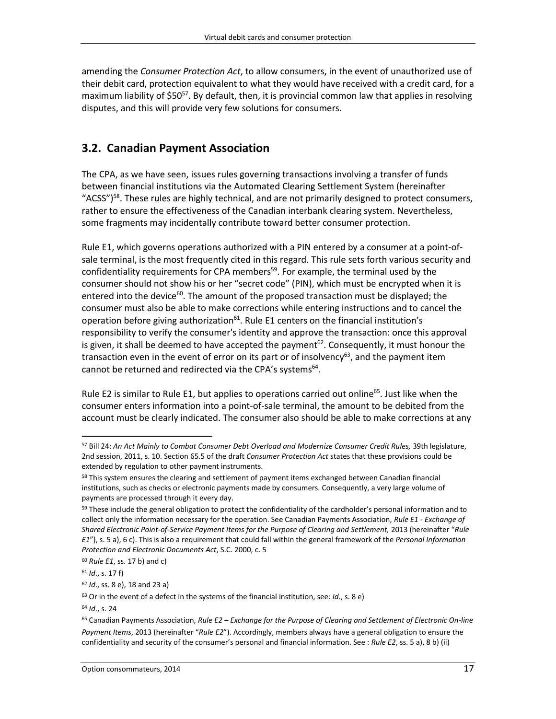amending the *Consumer Protection Act*, to allow consumers, in the event of unauthorized use of their debit card, protection equivalent to what they would have received with a credit card, for a maximum liability of \$50 $57$ . By default, then, it is provincial common law that applies in resolving disputes, and this will provide very few solutions for consumers.

## <span id="page-16-0"></span>**3.2. Canadian Payment Association**

The CPA, as we have seen, issues rules governing transactions involving a transfer of funds between financial institutions via the Automated Clearing Settlement System (hereinafter "ACSS")<sup>58</sup>. These rules are highly technical, and are not primarily designed to protect consumers, rather to ensure the effectiveness of the Canadian interbank clearing system. Nevertheless, some fragments may incidentally contribute toward better consumer protection.

Rule E1, which governs operations authorized with a PIN entered by a consumer at a point-ofsale terminal, is the most frequently cited in this regard. This rule sets forth various security and confidentiality requirements for CPA members<sup>59</sup>. For example, the terminal used by the consumer should not show his or her "secret code" (PIN), which must be encrypted when it is entered into the device<sup>60</sup>. The amount of the proposed transaction must be displayed; the consumer must also be able to make corrections while entering instructions and to cancel the operation before giving authorization $61$ . Rule E1 centers on the financial institution's responsibility to verify the consumer's identity and approve the transaction: once this approval is given, it shall be deemed to have accepted the payment<sup> $62$ </sup>. Consequently, it must honour the transaction even in the event of error on its part or of insolvency<sup>63</sup>, and the payment item cannot be returned and redirected via the CPA's systems<sup>64</sup>.

Rule E2 is similar to Rule E1, but applies to operations carried out online<sup>65</sup>. Just like when the consumer enters information into a point-of-sale terminal, the amount to be debited from the account must be clearly indicated. The consumer also should be able to make corrections at any

<sup>57</sup> Bill 24: *An Act Mainly to Combat Consumer Debt Overload and Modernize Consumer Credit Rules,* 39th legislature, 2nd session, 2011, s. 10. Section 65.5 of the draft *Consumer Protection Act* states that these provisions could be extended by regulation to other payment instruments.

<sup>58</sup> This system ensures the clearing and settlement of payment items exchanged between Canadian financial institutions, such as checks or electronic payments made by consumers. Consequently, a very large volume of payments are processed through it every day.

<sup>&</sup>lt;sup>59</sup> These include the general obligation to protect the confidentiality of the cardholder's personal information and to collect only the information necessary for the operation. See Canadian Payments Association, *Rule E1 - Exchange of Shared Electronic Point-of-Service Payment Items for the Purpose of Clearing and Settlement,* 2013 (hereinafter "*Rule E1*"), s. 5 a), 6 c). This is also a requirement that could fall within the general framework of the *Personal Information Protection and Electronic Documents Act*, S.C. 2000, c. 5

<sup>60</sup> *Rule E1*, ss. 17 b) and c)

<sup>61</sup> *Id*., s. 17 f)

<sup>62</sup> *Id*., ss. 8 e), 18 and 23 a)

<sup>63</sup> Or in the event of a defect in the systems of the financial institution, see: *Id*., s. 8 e)

<sup>64</sup> *Id*., s. 24

<sup>65</sup> Canadian Payments Association, *Rule E2 – Exchange for the Purpose of Clearing and Settlement of Electronic On-line Payment Items*, 2013 (hereinafter "*Rule E2*"). Accordingly, members always have a general obligation to ensure the confidentiality and security of the consumer's personal and financial information. See : *Rule E2*, ss. 5 a), 8 b) (ii)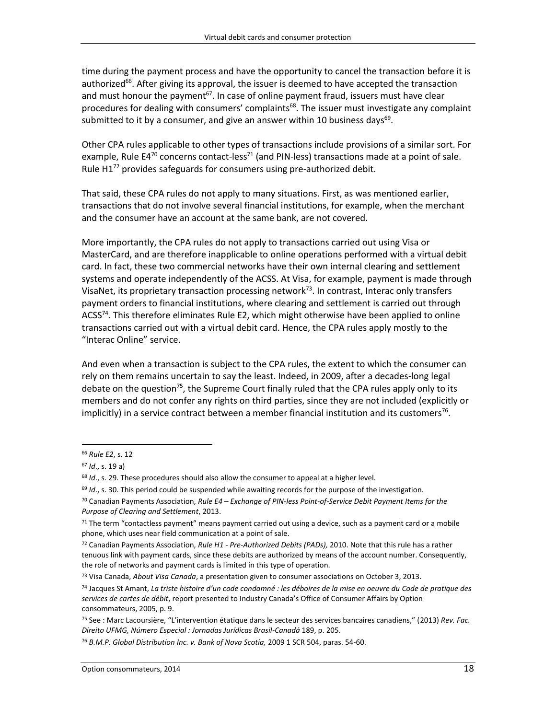time during the payment process and have the opportunity to cancel the transaction before it is authorized<sup>66</sup>. After giving its approval, the issuer is deemed to have accepted the transaction and must honour the payment<sup>67</sup>. In case of online payment fraud, issuers must have clear procedures for dealing with consumers' complaints<sup>68</sup>. The issuer must investigate any complaint submitted to it by a consumer, and give an answer within 10 business days<sup>69</sup>.

Other CPA rules applicable to other types of transactions include provisions of a similar sort. For example, Rule  $E4^{70}$  concerns contact-less<sup>71</sup> (and PIN-less) transactions made at a point of sale. Rule H1<sup>72</sup> provides safeguards for consumers using pre-authorized debit.

That said, these CPA rules do not apply to many situations. First, as was mentioned earlier, transactions that do not involve several financial institutions, for example, when the merchant and the consumer have an account at the same bank, are not covered.

More importantly, the CPA rules do not apply to transactions carried out using Visa or MasterCard, and are therefore inapplicable to online operations performed with a virtual debit card. In fact, these two commercial networks have their own internal clearing and settlement systems and operate independently of the ACSS. At Visa, for example, payment is made through VisaNet, its proprietary transaction processing network<sup>73</sup>. In contrast, Interac only transfers payment orders to financial institutions, where clearing and settlement is carried out through ACSS<sup>74</sup>. This therefore eliminates Rule E2, which might otherwise have been applied to online transactions carried out with a virtual debit card. Hence, the CPA rules apply mostly to the "Interac Online" service.

And even when a transaction is subject to the CPA rules, the extent to which the consumer can rely on them remains uncertain to say the least. Indeed, in 2009, after a decades-long legal debate on the question<sup>75</sup>, the Supreme Court finally ruled that the CPA rules apply only to its members and do not confer any rights on third parties, since they are not included (explicitly or implicitly) in a service contract between a member financial institution and its customers<sup>76</sup>.

 $\overline{\phantom{a}}$ <sup>66</sup> *Rule E2*, s. 12

<sup>67</sup> *Id*., s. 19 a)

<sup>68</sup> *Id*., s. 29. These procedures should also allow the consumer to appeal at a higher level.

<sup>&</sup>lt;sup>69</sup> *Id.*, s. 30. This period could be suspended while awaiting records for the purpose of the investigation.

<sup>70</sup> Canadian Payments Association, *Rule E4 – Exchange of PIN-less Point-of-Service Debit Payment Items for the Purpose of Clearing and Settlement*, 2013.

 $71$  The term "contactless payment" means payment carried out using a device, such as a payment card or a mobile phone, which uses near field communication at a point of sale.

<sup>72</sup> Canadian Payments Association, *Rule H1 - Pre-Authorized Debits (PADs),* 2010. Note that this rule has a rather tenuous link with payment cards, since these debits are authorized by means of the account number. Consequently, the role of networks and payment cards is limited in this type of operation.

<sup>73</sup> Visa Canada, *About Visa Canada*, a presentation given to consumer associations on October 3, 2013.

<sup>74</sup> Jacques St Amant, *La triste histoire d'un code condamné : les déboires de la mise en oeuvre du Code de pratique des services de cartes de débit*, report presented to Industry Canada's Office of Consumer Affairs by Option consommateurs, 2005, p. 9.

<sup>75</sup> See : Marc Lacoursière, "L'intervention étatique dans le secteur des services bancaires canadiens," (2013) *Rev. Fac. Direito UFMG, Número Especial : Jornadas Jurídicas Brasil-Canadá* 189, p. 205.

<sup>76</sup> *B.M.P. Global Distribution Inc. v. Bank of Nova Scotia,* 2009 1 SCR 504, paras. 54-60.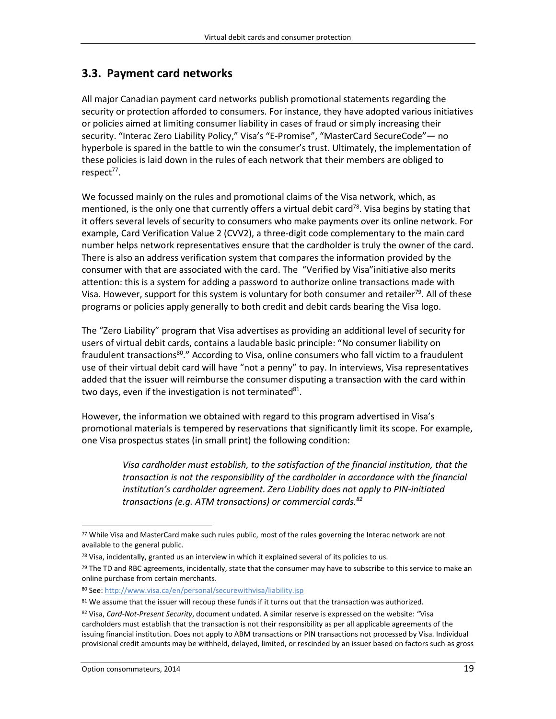## <span id="page-18-0"></span>**3.3. Payment card networks**

All major Canadian payment card networks publish promotional statements regarding the security or protection afforded to consumers. For instance, they have adopted various initiatives or policies aimed at limiting consumer liability in cases of fraud or simply increasing their security. "Interac Zero Liability Policy," Visa's "E-Promise", "MasterCard SecureCode"— no hyperbole is spared in the battle to win the consumer's trust. Ultimately, the implementation of these policies is laid down in the rules of each network that their members are obliged to respect<sup>77</sup>.

We focussed mainly on the rules and promotional claims of the Visa network, which, as mentioned, is the only one that currently offers a virtual debit card<sup>78</sup>. Visa begins by stating that it offers several levels of security to consumers who make payments over its online network. For example, Card Verification Value 2 (CVV2), a three-digit code complementary to the main card number helps network representatives ensure that the cardholder is truly the owner of the card. There is also an address verification system that compares the information provided by the consumer with that are associated with the card. The "Verified by Visa"initiative also merits attention: this is a system for adding a password to authorize online transactions made with Visa. However, support for this system is voluntary for both consumer and retailer<sup>79</sup>. All of these programs or policies apply generally to both credit and debit cards bearing the Visa logo.

The "Zero Liability" program that Visa advertises as providing an additional level of security for users of virtual debit cards, contains a laudable basic principle: "No consumer liability on fraudulent transactions<sup>80</sup>." According to Visa, online consumers who fall victim to a fraudulent use of their virtual debit card will have "not a penny" to pay. In interviews, Visa representatives added that the issuer will reimburse the consumer disputing a transaction with the card within two days, even if the investigation is not terminated ${}^{81}$ .

However, the information we obtained with regard to this program advertised in Visa's promotional materials is tempered by reservations that significantly limit its scope. For example, one Visa prospectus states (in small print) the following condition:

> *Visa cardholder must establish, to the satisfaction of the financial institution, that the transaction is not the responsibility of the cardholder in accordance with the financial institution's cardholder agreement. Zero Liability does not apply to PIN-initiated transactions (e.g. ATM transactions) or commercial cards. 82*

<sup>80</sup> See[: http://www.visa.ca/en/personal/securewithvisa/liability.jsp](http://www.visa.ca/en/personal/securewithvisa/liability.jsp)

<sup>77</sup> While Visa and MasterCard make such rules public, most of the rules governing the Interac network are not available to the general public.

<sup>&</sup>lt;sup>78</sup> Visa, incidentally, granted us an interview in which it explained several of its policies to us.

 $79$  The TD and RBC agreements, incidentally, state that the consumer may have to subscribe to this service to make an online purchase from certain merchants.

<sup>&</sup>lt;sup>81</sup> We assume that the issuer will recoup these funds if it turns out that the transaction was authorized.

<sup>82</sup> Visa, *Card-Not-Present Security*, document undated. A similar reserve is expressed on the website: "Visa cardholders must establish that the transaction is not their responsibility as per all applicable agreements of the issuing financial institution. Does not apply to ABM transactions or PIN transactions not processed by Visa. Individual provisional credit amounts may be withheld, delayed, limited, or rescinded by an issuer based on factors such as gross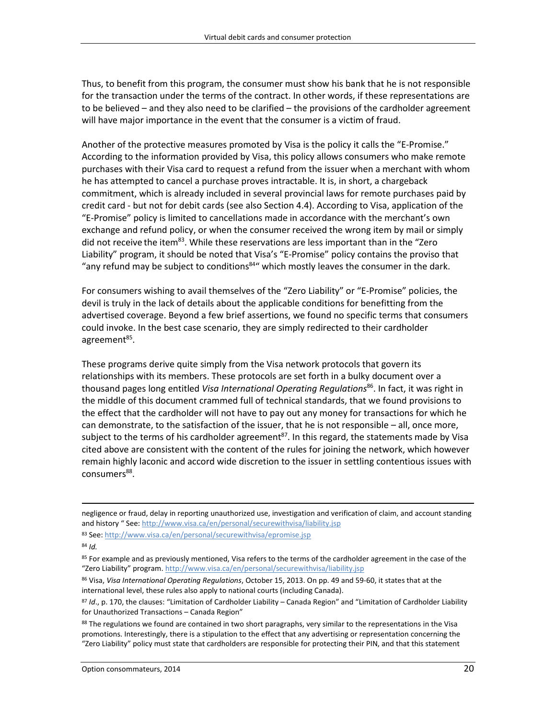Thus, to benefit from this program, the consumer must show his bank that he is not responsible for the transaction under the terms of the contract. In other words, if these representations are to be believed – and they also need to be clarified – the provisions of the cardholder agreement will have major importance in the event that the consumer is a victim of fraud.

Another of the protective measures promoted by Visa is the policy it calls the "E-Promise." According to the information provided by Visa, this policy allows consumers who make remote purchases with their Visa card to request a refund from the issuer when a merchant with whom he has attempted to cancel a purchase proves intractable. It is, in short, a chargeback commitment, which is already included in several provincial laws for remote purchases paid by credit card - but not for debit cards (see also Section 4.4). According to Visa, application of the "E-Promise" policy is limited to cancellations made in accordance with the merchant's own exchange and refund policy, or when the consumer received the wrong item by mail or simply did not receive the item<sup>83</sup>. While these reservations are less important than in the "Zero Liability" program, it should be noted that Visa's "E-Promise" policy contains the proviso that "any refund may be subject to conditions<sup>84</sup>" which mostly leaves the consumer in the dark.

For consumers wishing to avail themselves of the "Zero Liability" or "E-Promise" policies, the devil is truly in the lack of details about the applicable conditions for benefitting from the advertised coverage. Beyond a few brief assertions, we found no specific terms that consumers could invoke. In the best case scenario, they are simply redirected to their cardholder agreement<sup>85</sup>.

These programs derive quite simply from the Visa network protocols that govern its relationships with its members. These protocols are set forth in a bulky document over a thousand pages long entitled *Visa International Operating Regulations*<sup>86</sup>. In fact, it was right in the middle of this document crammed full of technical standards, that we found provisions to the effect that the cardholder will not have to pay out any money for transactions for which he can demonstrate, to the satisfaction of the issuer, that he is not responsible – all, once more, subject to the terms of his cardholder agreement<sup>87</sup>. In this regard, the statements made by Visa cited above are consistent with the content of the rules for joining the network, which however remain highly laconic and accord wide discretion to the issuer in settling contentious issues with consumers<sup>88</sup>.

 $\overline{a}$ 

negligence or fraud, delay in reporting unauthorized use, investigation and verification of claim, and account standing and history " See[: http://www.visa.ca/en/personal/securewithvisa/liability.jsp](http://www.visa.ca/en/personal/securewithvisa/liability.jsp)

<sup>83</sup> See[: http://www.visa.ca/en/personal/securewithvisa/epromise.jsp](http://www.visa.ca/en/personal/securewithvisa/epromise.jsp)

<sup>84</sup> *Id.*

 $85$  For example and as previously mentioned, Visa refers to the terms of the cardholder agreement in the case of the "Zero Liability" program[. http://www.visa.ca/en/personal/securewithvisa/liability.jsp](http://www.visa.ca/en/personal/securewithvisa/liability.jsp)

<sup>86</sup> Visa, *Visa International Operating Regulations*, October 15, 2013. On pp. 49 and 59-60, it states that at the international level, these rules also apply to national courts (including Canada).

<sup>87</sup> *Id*., p. 170, the clauses: "Limitation of Cardholder Liability – Canada Region" and "Limitation of Cardholder Liability for Unauthorized Transactions – Canada Region"

<sup>88</sup> The regulations we found are contained in two short paragraphs, very similar to the representations in the Visa promotions. Interestingly, there is a stipulation to the effect that any advertising or representation concerning the "Zero Liability" policy must state that cardholders are responsible for protecting their PIN, and that this statement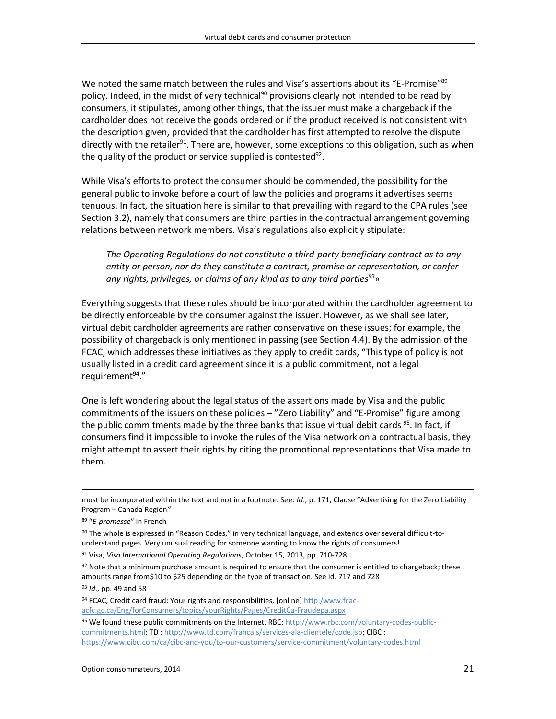We noted the same match between the rules and Visa's assertions about its "E-Promise"<sup>89</sup> policy. Indeed, in the midst of very technical<sup>90</sup> provisions clearly not intended to be read by consumers, it stipulates, among other things, that the issuer must make a chargeback if the cardholder does not receive the goods ordered or if the product received is not consistent with the description given, provided that the cardholder has first attempted to resolve the dispute directly with the retailer<sup>91</sup>. There are, however, some exceptions to this obligation, such as when the quality of the product or service supplied is contested<sup>92</sup>.

While Visa's efforts to protect the consumer should be commended, the possibility for the general public to invoke before a court of law the policies and programs it advertises seems tenuous. In fact, the situation here is similar to that prevailing with regard to the CPA rules (see Section 3.2), namely that consumers are third parties in the contractual arrangement governing relations between network members. Visa's regulations also explicitly stipulate:

*The Operating Regulations do not constitute a third-party beneficiary contract as to any entity or person, nor do they constitute a contract, promise or representation, or confer any rights, privileges, or claims of any kind as to any third parties<sup>93</sup>*»

Everything suggests that these rules should be incorporated within the cardholder agreement to be directly enforceable by the consumer against the issuer. However, as we shall see later, virtual debit cardholder agreements are rather conservative on these issues; for example, the possibility of chargeback is only mentioned in passing (see Section 4.4). By the admission of the FCAC, which addresses these initiatives as they apply to credit cards, "This type of policy is not usually listed in a credit card agreement since it is a public commitment, not a legal requirement<sup>94</sup>."

One is left wondering about the legal status of the assertions made by Visa and the public commitments of the issuers on these policies - "Zero Liability" and "E-Promise" figure among the public commitments made by the three banks that issue virtual debit cards <sup>95</sup>. In fact, if consumers find it impossible to invoke the rules of the Visa network on a contractual basis, they might attempt to assert their rights by citing the promotional representations that Visa made to them.

must be incorporated within the text and not in a footnote. See: *Id*., p. 171, Clause "Advertising for the Zero Liability Program – Canada Region*"*

 $\overline{a}$ 

<sup>93</sup> *Id*., pp. 49 and 58

<sup>89</sup> "*E-promesse*" in French

<sup>90</sup> The whole is expressed in "Reason Codes," in very technical language, and extends over several difficult-tounderstand pages. Very unusual reading for someone wanting to know the rights of consumers!

<sup>91</sup> Visa, *Visa International Operating Regulations*, October 15, 2013, pp. 710-728

 $92$  Note that a minimum purchase amount is required to ensure that the consumer is entitled to chargeback; these amounts range from\$10 to \$25 depending on the type of transaction. See Id. 717 and 728

<sup>94</sup> FCAC, Credit card fraud: Your rights and responsibilities, [online] [http:/www.fcac](http://www.fcac-acfc.gc.ca/Eng/forConsumers/topics/yourRights/Pages/CreditCa-Fraudepa.aspx)[acfc.gc.ca/Eng/forConsumers/topics/yourRights/Pages/CreditCa-Fraudepa.aspx](http://www.fcac-acfc.gc.ca/Eng/forConsumers/topics/yourRights/Pages/CreditCa-Fraudepa.aspx)

<sup>95</sup> We found these public commitments on the Internet. RBC[: http://www.rbc.com/voluntary-codes-public](http://www.rbc.com/voluntary-codes-public-commitments.html)[commitments.html;](http://www.rbc.com/voluntary-codes-public-commitments.html) TD : [http://www.td.com/francais/services-ala-clientele/code.jsp;](http://www.td.com/francais/services-ala-clientele/code.jsp) CIBC : <https://www.cibc.com/ca/cibc-and-you/to-our-customers/service-commitment/voluntary-codes.html>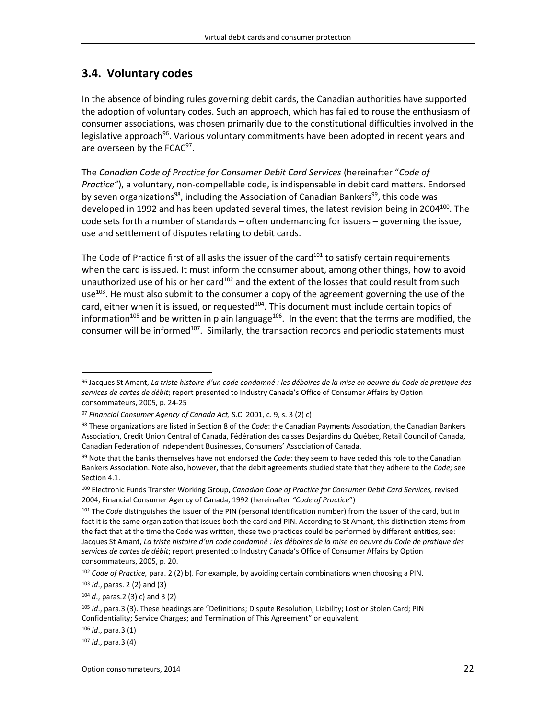### <span id="page-21-0"></span>**3.4. Voluntary codes**

In the absence of binding rules governing debit cards, the Canadian authorities have supported the adoption of voluntary codes. Such an approach, which has failed to rouse the enthusiasm of consumer associations, was chosen primarily due to the constitutional difficulties involved in the legislative approach<sup>96</sup>. Various voluntary commitments have been adopted in recent years and are overseen by the FCAC<sup>97</sup>.

The *Canadian Code of Practice for Consumer Debit Card Services* (hereinafter "*Code of Practice"*), a voluntary, non-compellable code, is indispensable in debit card matters. Endorsed by seven organizations<sup>98</sup>, including the Association of Canadian Bankers<sup>99</sup>, this code was developed in 1992 and has been updated several times, the latest revision being in 2004<sup>100</sup>. The code sets forth a number of standards – often undemanding for issuers – governing the issue, use and settlement of disputes relating to debit cards.

The Code of Practice first of all asks the issuer of the card<sup>101</sup> to satisfy certain requirements when the card is issued. It must inform the consumer about, among other things, how to avoid unauthorized use of his or her card<sup>102</sup> and the extent of the losses that could result from such use $103$ . He must also submit to the consumer a copy of the agreement governing the use of the card, either when it is issued, or requested<sup>104</sup>. This document must include certain topics of information<sup>105</sup> and be written in plain language<sup>106</sup>. In the event that the terms are modified, the consumer will be informed<sup>107</sup>. Similarly, the transaction records and periodic statements must

l

<sup>96</sup> Jacques St Amant, *La triste histoire d'un code condamné : les déboires de la mise en oeuvre du Code de pratique des services de cartes de débit*; report presented to Industry Canada's Office of Consumer Affairs by Option consommateurs, 2005, p. 24-25

<sup>97</sup> *Financial Consumer Agency of Canada Act,* S.C. 2001, c. 9, s. 3 (2) c)

<sup>98</sup> These organizations are listed in Section 8 of the *Code*: the Canadian Payments Association, the Canadian Bankers Association, Credit Union Central of Canada, Fédération des caisses Desjardins du Québec, Retail Council of Canada, Canadian Federation of Independent Businesses, Consumers' Association of Canada.

<sup>99</sup> Note that the banks themselves have not endorsed the *Code*: they seem to have ceded this role to the Canadian Bankers Association. Note also, however, that the debit agreements studied state that they adhere to the *Code;* see Section 4.1.

<sup>100</sup> Electronic Funds Transfer Working Group, *Canadian Code of Practice for Consumer Debit Card Services,* revised 2004, Financial Consumer Agency of Canada, 1992 (hereinafter *"Code of Practice*")

<sup>101</sup> The *Code* distinguishes the issuer of the PIN (personal identification number) from the issuer of the card, but in fact it is the same organization that issues both the card and PIN. According to St Amant, this distinction stems from the fact that at the time the Code was written, these two practices could be performed by different entities, see: Jacques St Amant, *La triste histoire d'un code condamné : les déboires de la mise en oeuvre du Code de pratique des services de cartes de débit*; report presented to Industry Canada's Office of Consumer Affairs by Option consommateurs, 2005, p. 20.

<sup>102</sup> *Code of Practice,* para. 2 (2) b). For example, by avoiding certain combinations when choosing a PIN.

<sup>103</sup> *Id*., paras. 2 (2) and (3)

<sup>104</sup> *d*., paras.2 (3) c) and 3 (2)

<sup>105</sup> *Id*., para.3 (3). These headings are "Definitions; Dispute Resolution; Liability; Lost or Stolen Card; PIN Confidentiality; Service Charges; and Termination of This Agreement" or equivalent.

<sup>106</sup> *Id*., para.3 (1)

<sup>107</sup> *Id*., para.3 (4)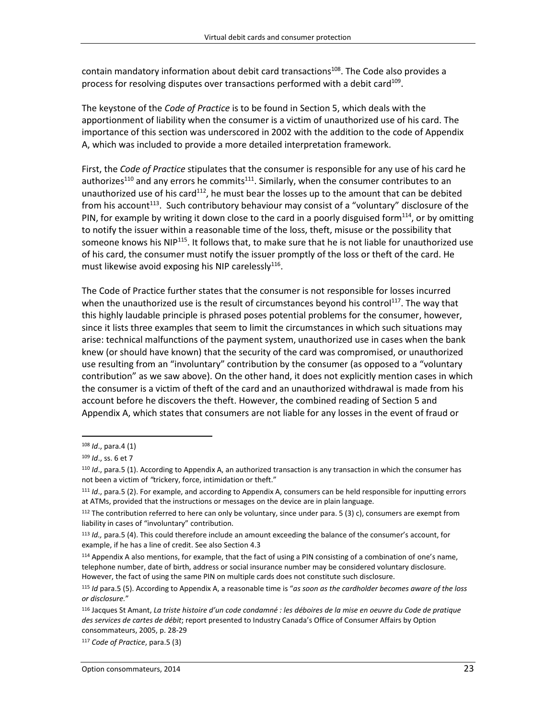contain mandatory information about debit card transactions<sup>108</sup>. The Code also provides a process for resolving disputes over transactions performed with a debit card<sup>109</sup>.

The keystone of the *Code of Practice* is to be found in Section 5, which deals with the apportionment of liability when the consumer is a victim of unauthorized use of his card. The importance of this section was underscored in 2002 with the addition to the code of Appendix A, which was included to provide a more detailed interpretation framework.

First, the *Code of Practice* stipulates that the consumer is responsible for any use of his card he authorizes<sup>110</sup> and any errors he commits<sup>111</sup>. Similarly, when the consumer contributes to an unauthorized use of his card<sup>112</sup>, he must bear the losses up to the amount that can be debited from his account<sup>113</sup>. Such contributory behaviour may consist of a "voluntary" disclosure of the PIN, for example by writing it down close to the card in a poorly disguised form<sup>114</sup>, or by omitting to notify the issuer within a reasonable time of the loss, theft, misuse or the possibility that someone knows his NIP<sup>115</sup>. It follows that, to make sure that he is not liable for unauthorized use of his card, the consumer must notify the issuer promptly of the loss or theft of the card. He must likewise avoid exposing his NIP carelessly<sup>116</sup>.

The Code of Practice further states that the consumer is not responsible for losses incurred when the unauthorized use is the result of circumstances beyond his control<sup>117</sup>. The way that this highly laudable principle is phrased poses potential problems for the consumer, however, since it lists three examples that seem to limit the circumstances in which such situations may arise: technical malfunctions of the payment system, unauthorized use in cases when the bank knew (or should have known) that the security of the card was compromised, or unauthorized use resulting from an "involuntary" contribution by the consumer (as opposed to a "voluntary contribution" as we saw above). On the other hand, it does not explicitly mention cases in which the consumer is a victim of theft of the card and an unauthorized withdrawal is made from his account before he discovers the theft. However, the combined reading of Section 5 and Appendix A, which states that consumers are not liable for any losses in the event of fraud or

<sup>108</sup> *Id*., para.4 (1)

<sup>109</sup> *Id*., ss. 6 et 7

<sup>110</sup> *Id*., para.5 (1). According to Appendix A, an authorized transaction is any transaction in which the consumer has not been a victim of *"*trickery, force, intimidation or theft."

<sup>111</sup> *Id*., para.5 (2). For example, and according to Appendix A, consumers can be held responsible for inputting errors at ATMs, provided that the instructions or messages on the device are in plain language.

 $112$  The contribution referred to here can only be voluntary, since under para. 5 (3) c), consumers are exempt from liability in cases of "involuntary" contribution.

<sup>113</sup> *Id.,* para.5 (4). This could therefore include an amount exceeding the balance of the consumer's account, for example, if he has a line of credit. See also Section 4.3

<sup>114</sup> Appendix A also mentions, for example, that the fact of using a PIN consisting of a combination of one's name, telephone number, date of birth, address or social insurance number may be considered voluntary disclosure. However, the fact of using the same PIN on multiple cards does not constitute such disclosure.

<sup>115</sup> *Id* para.5 (5). According to Appendix A, a reasonable time is "*as soon as the cardholder becomes aware of the loss or disclosure.*"

<sup>116</sup> Jacques St Amant, *La triste histoire d'un code condamné : les déboires de la mise en oeuvre du Code de pratique des services de cartes de débit*; report presented to Industry Canada's Office of Consumer Affairs by Option consommateurs, 2005, p. 28-29

<sup>117</sup> *Code of Practice*, para.5 (3)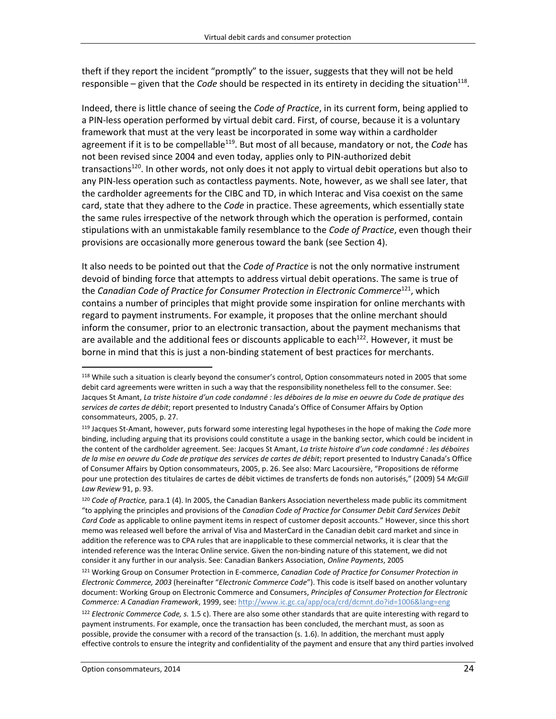theft if they report the incident "promptly" to the issuer, suggests that they will not be held responsible – given that the *Code* should be respected in its entirety in deciding the situation<sup>118</sup>.

Indeed, there is little chance of seeing the *Code of Practice*, in its current form, being applied to a PIN-less operation performed by virtual debit card. First, of course, because it is a voluntary framework that must at the very least be incorporated in some way within a cardholder agreement if it is to be compellable<sup>119</sup>. But most of all because, mandatory or not, the *Code* has not been revised since 2004 and even today, applies only to PIN-authorized debit transactions<sup>120</sup>. In other words, not only does it not apply to virtual debit operations but also to any PIN-less operation such as contactless payments. Note, however, as we shall see later, that the cardholder agreements for the CIBC and TD, in which Interac and Visa coexist on the same card, state that they adhere to the *Code* in practice. These agreements, which essentially state the same rules irrespective of the network through which the operation is performed, contain stipulations with an unmistakable family resemblance to the *Code of Practice*, even though their provisions are occasionally more generous toward the bank (see Section 4).

It also needs to be pointed out that the *Code of Practice* is not the only normative instrument devoid of binding force that attempts to address virtual debit operations. The same is true of the *Canadian Code of Practice for Consumer Protection in Electronic Commerce*<sup>121</sup>, which contains a number of principles that might provide some inspiration for online merchants with regard to payment instruments. For example, it proposes that the online merchant should inform the consumer, prior to an electronic transaction, about the payment mechanisms that are available and the additional fees or discounts applicable to each<sup>122</sup>. However, it must be borne in mind that this is just a non-binding statement of best practices for merchants.

l

<sup>&</sup>lt;sup>118</sup> While such a situation is clearly beyond the consumer's control, Option consommateurs noted in 2005 that some debit card agreements were written in such a way that the responsibility nonetheless fell to the consumer. See: Jacques St Amant, *La triste histoire d'un code condamné : les déboires de la mise en oeuvre du Code de pratique des services de cartes de débit*; report presented to Industry Canada's Office of Consumer Affairs by Option consommateurs, 2005, p. 27.

<sup>119</sup> Jacques St-Amant, however, puts forward some interesting legal hypotheses in the hope of making the *Code* more binding, including arguing that its provisions could constitute a usage in the banking sector, which could be incident in the content of the cardholder agreement. See: Jacques St Amant, *La triste histoire d'un code condamné : les déboires de la mise en oeuvre du Code de pratique des services de cartes de débit*; report presented to Industry Canada's Office of Consumer Affairs by Option consommateurs, 2005, p. 26. See also: Marc Lacoursière, "Propositions de réforme pour une protection des titulaires de cartes de débit victimes de transferts de fonds non autorisés," (2009) 54 *McGill Law Review* 91, p. 93.

<sup>120</sup> *Code of Practice,* para.1 (4). In 2005, the Canadian Bankers Association nevertheless made public its commitment "to applying the principles and provisions of the *Canadian Code of Practice for Consumer Debit Card Services Debit Card Code* as applicable to online payment items in respect of customer deposit accounts." However, since this short memo was released well before the arrival of Visa and MasterCard in the Canadian debit card market and since in addition the reference was to CPA rules that are inapplicable to these commercial networks, it is clear that the intended reference was the Interac Online service. Given the non-binding nature of this statement, we did not consider it any further in our analysis. See: Canadian Bankers Association, *Online Payments*, 2005

<sup>121</sup> Working Group on Consumer Protection in E-commerce, *Canadian Code of Practice for Consumer Protection in Electronic Commerce, 2003* (hereinafter "*Electronic Commerce Code*"). This code is itself based on another voluntary document: Working Group on Electronic Commerce and Consumers, *Principles of Consumer Protection for Electronic Commerce: A Canadian Framework*, 1999, see[: http://www.ic.gc.ca/app/oca/crd/dcmnt.do?id=1006&lang=eng](http://www.ic.gc.ca/app/oca/crd/dcmnt.do?id=1006&lang=eng)

<sup>122</sup> *Electronic Commerce Code, s.* 1.5 c). There are also some other standards that are quite interesting with regard to payment instruments. For example, once the transaction has been concluded, the merchant must, as soon as possible, provide the consumer with a record of the transaction (s. 1.6). In addition, the merchant must apply effective controls to ensure the integrity and confidentiality of the payment and ensure that any third parties involved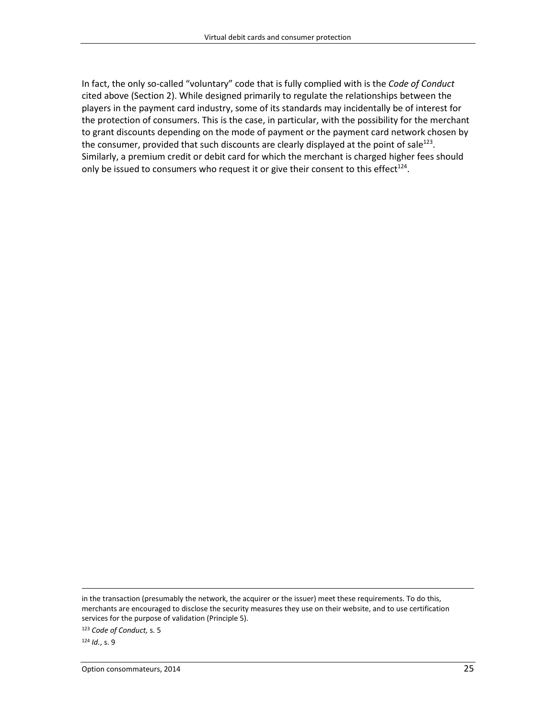In fact, the only so-called "voluntary" code that is fully complied with is the *Code of Conduct* cited above (Section 2). While designed primarily to regulate the relationships between the players in the payment card industry, some of its standards may incidentally be of interest for the protection of consumers. This is the case, in particular, with the possibility for the merchant to grant discounts depending on the mode of payment or the payment card network chosen by the consumer, provided that such discounts are clearly displayed at the point of sale<sup>123</sup>. Similarly, a premium credit or debit card for which the merchant is charged higher fees should only be issued to consumers who request it or give their consent to this effect $^{124}$ .

l

in the transaction (presumably the network, the acquirer or the issuer) meet these requirements. To do this, merchants are encouraged to disclose the security measures they use on their website, and to use certification services for the purpose of validation (Principle 5).

<sup>123</sup> *Code of Conduct,* s. 5

<sup>124</sup> *Id.*, s. 9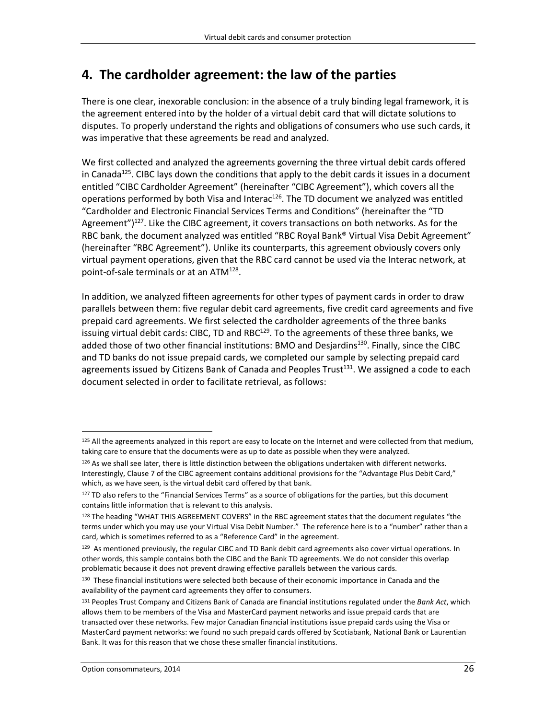## <span id="page-25-0"></span>**4. The cardholder agreement: the law of the parties**

There is one clear, inexorable conclusion: in the absence of a truly binding legal framework, it is the agreement entered into by the holder of a virtual debit card that will dictate solutions to disputes. To properly understand the rights and obligations of consumers who use such cards, it was imperative that these agreements be read and analyzed.

We first collected and analyzed the agreements governing the three virtual debit cards offered in Canada<sup>125</sup>. CIBC lays down the conditions that apply to the debit cards it issues in a document entitled "CIBC Cardholder Agreement" (hereinafter "CIBC Agreement"), which covers all the operations performed by both Visa and Interac<sup>126</sup>. The TD document we analyzed was entitled "Cardholder and Electronic Financial Services Terms and Conditions" (hereinafter the "TD Agreement")<sup>127</sup>. Like the CIBC agreement, it covers transactions on both networks. As for the RBC bank, the document analyzed was entitled "RBC Royal Bank® Virtual Visa Debit Agreement" (hereinafter "RBC Agreement"). Unlike its counterparts, this agreement obviously covers only virtual payment operations, given that the RBC card cannot be used via the Interac network, at point-of-sale terminals or at an ATM<sup>128</sup>.

In addition, we analyzed fifteen agreements for other types of payment cards in order to draw parallels between them: five regular debit card agreements, five credit card agreements and five prepaid card agreements. We first selected the cardholder agreements of the three banks issuing virtual debit cards: CIBC, TD and RBC $^{129}$ . To the agreements of these three banks, we added those of two other financial institutions: BMO and Desjardins<sup>130</sup>. Finally, since the CIBC and TD banks do not issue prepaid cards, we completed our sample by selecting prepaid card agreements issued by Citizens Bank of Canada and Peoples Trust<sup>131</sup>. We assigned a code to each document selected in order to facilitate retrieval, as follows:

<sup>&</sup>lt;sup>125</sup> All the agreements analyzed in this report are easy to locate on the Internet and were collected from that medium, taking care to ensure that the documents were as up to date as possible when they were analyzed.

<sup>126</sup> As we shall see later, there is little distinction between the obligations undertaken with different networks. Interestingly, Clause 7 of the CIBC agreement contains additional provisions for the "Advantage Plus Debit Card," which, as we have seen, is the virtual debit card offered by that bank.

<sup>127</sup> TD also refers to the "Financial Services Terms" as a source of obligations for the parties, but this document contains little information that is relevant to this analysis.

<sup>128</sup> The heading "WHAT THIS AGREEMENT COVERS" in the RBC agreement states that the document regulates "the terms under which you may use your Virtual Visa Debit Number." The reference here is to a "number" rather than a card, which is sometimes referred to as a "Reference Card" in the agreement.

<sup>129</sup> As mentioned previously, the regular CIBC and TD Bank debit card agreements also cover virtual operations. In other words, this sample contains both the CIBC and the Bank TD agreements. We do not consider this overlap problematic because it does not prevent drawing effective parallels between the various cards.

<sup>&</sup>lt;sup>130</sup> These financial institutions were selected both because of their economic importance in Canada and the availability of the payment card agreements they offer to consumers.

<sup>131</sup> Peoples Trust Company and Citizens Bank of Canada are financial institutions regulated under the *Bank Act*, which allows them to be members of the Visa and MasterCard payment networks and issue prepaid cards that are transacted over these networks. Few major Canadian financial institutions issue prepaid cards using the Visa or MasterCard payment networks: we found no such prepaid cards offered by Scotiabank, National Bank or Laurentian Bank. It was for this reason that we chose these smaller financial institutions.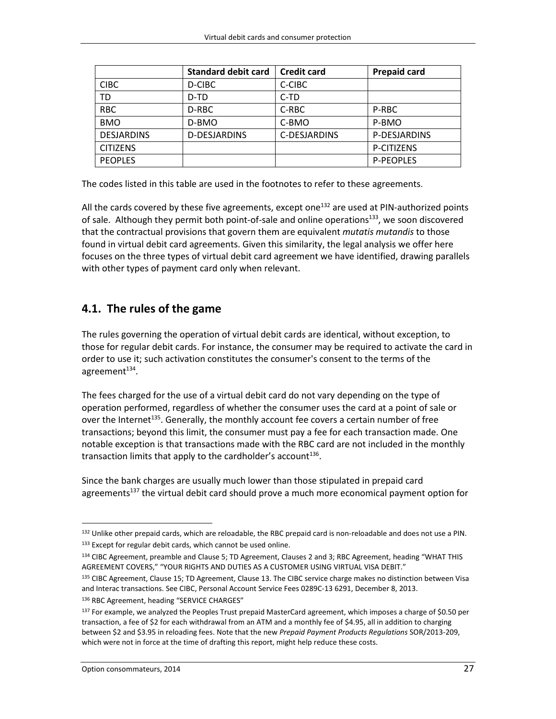|                   | <b>Standard debit card</b> | <b>Credit card</b> | <b>Prepaid card</b> |
|-------------------|----------------------------|--------------------|---------------------|
| <b>CIBC</b>       | D-CIBC                     | C-CIBC             |                     |
| <b>TD</b>         | D-TD                       | C-TD               |                     |
| <b>RBC</b>        | D-RBC                      | C-RBC              | P-RBC               |
| <b>BMO</b>        | D-BMO                      | C-BMO              | P-BMO               |
| <b>DESJARDINS</b> | D-DESJARDINS               | C-DESJARDINS       | P-DESJARDINS        |
| <b>CITIZENS</b>   |                            |                    | P-CITIZENS          |
| <b>PEOPLES</b>    |                            |                    | <b>P-PEOPLES</b>    |

The codes listed in this table are used in the footnotes to refer to these agreements.

All the cards covered by these five agreements, except one<sup>132</sup> are used at PIN-authorized points of sale. Although they permit both point-of-sale and online operations $133$ , we soon discovered that the contractual provisions that govern them are equivalent *mutatis mutandis* to those found in virtual debit card agreements. Given this similarity, the legal analysis we offer here focuses on the three types of virtual debit card agreement we have identified, drawing parallels with other types of payment card only when relevant.

### <span id="page-26-0"></span>**4.1. The rules of the game**

The rules governing the operation of virtual debit cards are identical, without exception, to those for regular debit cards. For instance, the consumer may be required to activate the card in order to use it; such activation constitutes the consumer's consent to the terms of the agreement $^{134}$ .

The fees charged for the use of a virtual debit card do not vary depending on the type of operation performed, regardless of whether the consumer uses the card at a point of sale or over the Internet<sup>135</sup>. Generally, the monthly account fee covers a certain number of free transactions; beyond this limit, the consumer must pay a fee for each transaction made. One notable exception is that transactions made with the RBC card are not included in the monthly transaction limits that apply to the cardholder's account<sup>136</sup>.

Since the bank charges are usually much lower than those stipulated in prepaid card agreements<sup>137</sup> the virtual debit card should prove a much more economical payment option for

<sup>132</sup> Unlike other prepaid cards, which are reloadable, the RBC prepaid card is non-reloadable and does not use a PIN. 133 Except for regular debit cards, which cannot be used online.

<sup>134</sup> CIBC Agreement, preamble and Clause 5; TD Agreement, Clauses 2 and 3; RBC Agreement, heading "WHAT THIS AGREEMENT COVERS," "YOUR RIGHTS AND DUTIES AS A CUSTOMER USING VIRTUAL VISA DEBIT."

<sup>135</sup> CIBC Agreement, Clause 15; TD Agreement, Clause 13. The CIBC service charge makes no distinction between Visa and Interac transactions. See CIBC, Personal Account Service Fees 0289C-13 6291, December 8, 2013.

<sup>136</sup> RBC Agreement, heading "SERVICE CHARGES"

<sup>&</sup>lt;sup>137</sup> For example, we analyzed the Peoples Trust prepaid MasterCard agreement, which imposes a charge of \$0.50 per transaction, a fee of \$2 for each withdrawal from an ATM and a monthly fee of \$4.95, all in addition to charging between \$2 and \$3.95 in reloading fees. Note that the new *Prepaid Payment Products Regulations* SOR/2013-209, which were not in force at the time of drafting this report, might help reduce these costs.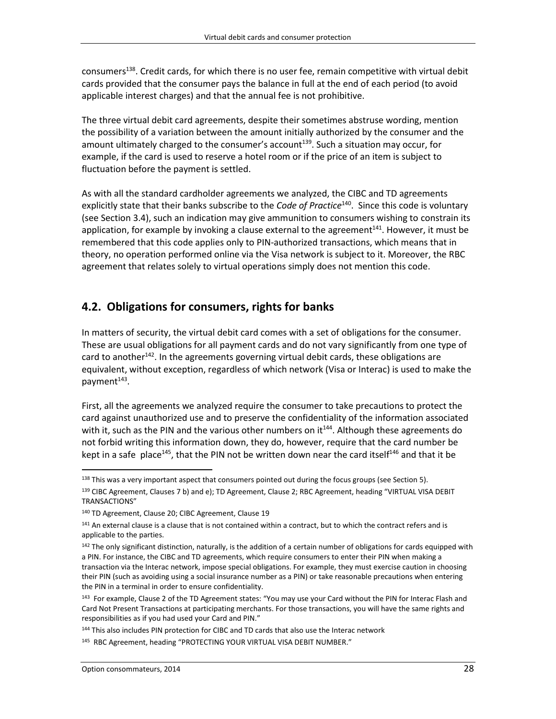consumers<sup>138</sup>. Credit cards, for which there is no user fee, remain competitive with virtual debit cards provided that the consumer pays the balance in full at the end of each period (to avoid applicable interest charges) and that the annual fee is not prohibitive.

The three virtual debit card agreements, despite their sometimes abstruse wording, mention the possibility of a variation between the amount initially authorized by the consumer and the amount ultimately charged to the consumer's account<sup>139</sup>. Such a situation may occur, for example, if the card is used to reserve a hotel room or if the price of an item is subject to fluctuation before the payment is settled.

As with all the standard cardholder agreements we analyzed, the CIBC and TD agreements explicitly state that their banks subscribe to the *Code of Practice*<sup>140</sup> . Since this code is voluntary (see Section 3.4), such an indication may give ammunition to consumers wishing to constrain its application, for example by invoking a clause external to the agreement $141$ . However, it must be remembered that this code applies only to PIN-authorized transactions, which means that in theory, no operation performed online via the Visa network is subject to it. Moreover, the RBC agreement that relates solely to virtual operations simply does not mention this code.

## <span id="page-27-0"></span>**4.2. Obligations for consumers, rights for banks**

In matters of security, the virtual debit card comes with a set of obligations for the consumer. These are usual obligations for all payment cards and do not vary significantly from one type of card to another<sup>142</sup>. In the agreements governing virtual debit cards, these obligations are equivalent, without exception, regardless of which network (Visa or Interac) is used to make the payment<sup>143</sup>.

First, all the agreements we analyzed require the consumer to take precautions to protect the card against unauthorized use and to preserve the confidentiality of the information associated with it, such as the PIN and the various other numbers on  $it^{144}$ . Although these agreements do not forbid writing this information down, they do, however, require that the card number be kept in a safe place<sup>145</sup>, that the PIN not be written down near the card itself<sup>146</sup> and that it be

<sup>138</sup> This was a very important aspect that consumers pointed out during the focus groups (see Section 5).

<sup>&</sup>lt;sup>139</sup> CIBC Agreement, Clauses 7 b) and e); TD Agreement, Clause 2; RBC Agreement, heading "VIRTUAL VISA DEBIT TRANSACTIONS"

<sup>140</sup> TD Agreement, Clause 20; CIBC Agreement, Clause 19

<sup>141</sup> An external clause is a clause that is not contained within a contract, but to which the contract refers and is applicable to the parties.

<sup>&</sup>lt;sup>142</sup> The only significant distinction, naturally, is the addition of a certain number of obligations for cards equipped with a PIN. For instance, the CIBC and TD agreements, which require consumers to enter their PIN when making a transaction via the Interac network, impose special obligations. For example, they must exercise caution in choosing their PIN (such as avoiding using a social insurance number as a PIN) or take reasonable precautions when entering the PIN in a terminal in order to ensure confidentiality.

<sup>143</sup> For example, Clause 2 of the TD Agreement states: "You may use your Card without the PIN for Interac Flash and Card Not Present Transactions at participating merchants. For those transactions, you will have the same rights and responsibilities as if you had used your Card and PIN."

<sup>144</sup> This also includes PIN protection for CIBC and TD cards that also use the Interac network 145 RBC Agreement, heading "PROTECTING YOUR VIRTUAL VISA DEBIT NUMBER."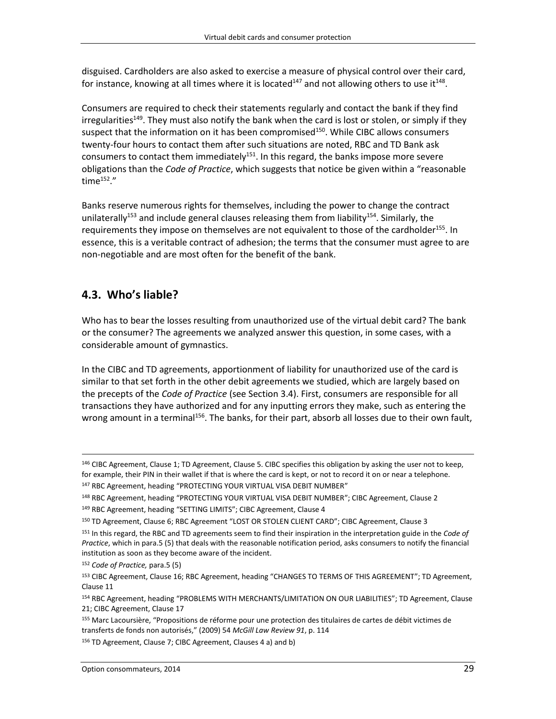disguised. Cardholders are also asked to exercise a measure of physical control over their card, for instance, knowing at all times where it is located<sup>147</sup> and not allowing others to use it<sup>148</sup>.

Consumers are required to check their statements regularly and contact the bank if they find irregularities<sup>149</sup>. They must also notify the bank when the card is lost or stolen, or simply if they suspect that the information on it has been compromised<sup>150</sup>. While CIBC allows consumers twenty-four hours to contact them after such situations are noted, RBC and TD Bank ask consumers to contact them immediately $151$ . In this regard, the banks impose more severe obligations than the *Code of Practice*, which suggests that notice be given within a "reasonable time $^{152}$ ."

Banks reserve numerous rights for themselves, including the power to change the contract unilaterally<sup>153</sup> and include general clauses releasing them from liability<sup>154</sup>. Similarly, the requirements they impose on themselves are not equivalent to those of the cardholder<sup>155</sup>. In essence, this is a veritable contract of adhesion; the terms that the consumer must agree to are non-negotiable and are most often for the benefit of the bank.

## <span id="page-28-0"></span>**4.3. Who's liable?**

Who has to bear the losses resulting from unauthorized use of the virtual debit card? The bank or the consumer? The agreements we analyzed answer this question, in some cases, with a considerable amount of gymnastics.

In the CIBC and TD agreements, apportionment of liability for unauthorized use of the card is similar to that set forth in the other debit agreements we studied, which are largely based on the precepts of the *Code of Practice* (see Section 3.4). First, consumers are responsible for all transactions they have authorized and for any inputting errors they make, such as entering the wrong amount in a terminal<sup>156</sup>. The banks, for their part, absorb all losses due to their own fault,

 $\overline{a}$ 

<sup>146</sup> CIBC Agreement, Clause 1; TD Agreement, Clause 5. CIBC specifies this obligation by asking the user not to keep, for example, their PIN in their wallet if that is where the card is kept, or not to record it on or near a telephone.

<sup>147</sup> RBC Agreement, heading "PROTECTING YOUR VIRTUAL VISA DEBIT NUMBER"

<sup>148</sup> RBC Agreement, heading "PROTECTING YOUR VIRTUAL VISA DEBIT NUMBER"; CIBC Agreement, Clause 2 149 RBC Agreement, heading "SETTING LIMITS"; CIBC Agreement, Clause 4

<sup>150</sup> TD Agreement, Clause 6; RBC Agreement "LOST OR STOLEN CLIENT CARD"; CIBC Agreement, Clause 3

<sup>151</sup> In this regard, the RBC and TD agreements seem to find their inspiration in the interpretation guide in the *Code of Practice*, which in para.5 (5) that deals with the reasonable notification period, asks consumers to notify the financial institution as soon as they become aware of the incident.

<sup>152</sup> *Code of Practice,* para.5 (5)

<sup>153</sup> CIBC Agreement, Clause 16; RBC Agreement, heading "CHANGES TO TERMS OF THIS AGREEMENT"; TD Agreement, Clause 11

<sup>154</sup> RBC Agreement, heading "PROBLEMS WITH MERCHANTS/LIMITATION ON OUR LIABILITIES"; TD Agreement, Clause 21; CIBC Agreement, Clause 17

<sup>155</sup> Marc Lacoursière, "Propositions de réforme pour une protection des titulaires de cartes de débit victimes de transferts de fonds non autorisés," (2009) 54 *McGill Law Review 91*, p. 114

<sup>156</sup> TD Agreement, Clause 7; CIBC Agreement, Clauses 4 a) and b)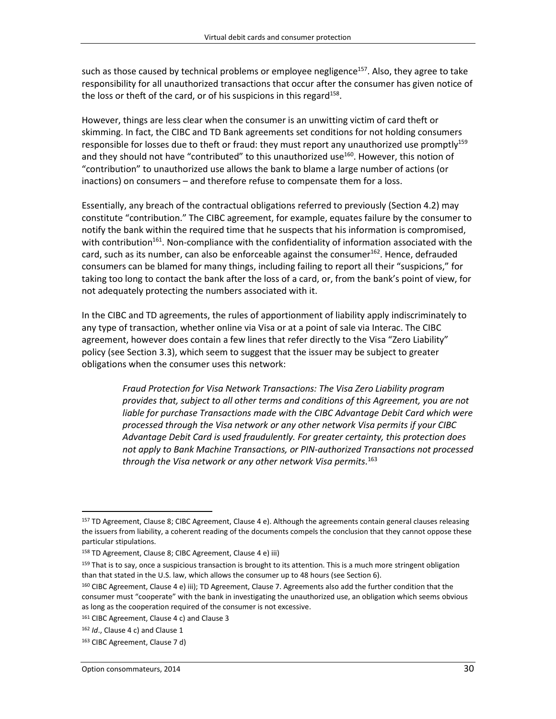such as those caused by technical problems or employee negligence<sup>157</sup>. Also, they agree to take responsibility for all unauthorized transactions that occur after the consumer has given notice of the loss or theft of the card, or of his suspicions in this regard<sup>158</sup>.

However, things are less clear when the consumer is an unwitting victim of card theft or skimming. In fact, the CIBC and TD Bank agreements set conditions for not holding consumers responsible for losses due to theft or fraud: they must report any unauthorized use promptly<sup>159</sup> and they should not have "contributed" to this unauthorized use<sup>160</sup>. However, this notion of "contribution" to unauthorized use allows the bank to blame a large number of actions (or inactions) on consumers – and therefore refuse to compensate them for a loss.

Essentially, any breach of the contractual obligations referred to previously (Section 4.2) may constitute "contribution." The CIBC agreement, for example, equates failure by the consumer to notify the bank within the required time that he suspects that his information is compromised, with contribution<sup>161</sup>. Non-compliance with the confidentiality of information associated with the card, such as its number, can also be enforceable against the consumer<sup>162</sup>. Hence, defrauded consumers can be blamed for many things, including failing to report all their "suspicions," for taking too long to contact the bank after the loss of a card, or, from the bank's point of view, for not adequately protecting the numbers associated with it.

In the CIBC and TD agreements, the rules of apportionment of liability apply indiscriminately to any type of transaction, whether online via Visa or at a point of sale via Interac. The CIBC agreement, however does contain a few lines that refer directly to the Visa "Zero Liability" policy (see Section 3.3), which seem to suggest that the issuer may be subject to greater obligations when the consumer uses this network:

> *Fraud Protection for Visa Network Transactions: The Visa Zero Liability program provides that, subject to all other terms and conditions of this Agreement, you are not liable for purchase Transactions made with the CIBC Advantage Debit Card which were processed through the Visa network or any other network Visa permits if your CIBC Advantage Debit Card is used fraudulently. For greater certainty, this protection does not apply to Bank Machine Transactions, or PIN-authorized Transactions not processed through the Visa network or any other network Visa permits.* 163

 $\overline{a}$ 

<sup>157</sup> TD Agreement, Clause 8; CIBC Agreement, Clause 4 e). Although the agreements contain general clauses releasing the issuers from liability, a coherent reading of the documents compels the conclusion that they cannot oppose these particular stipulations.

<sup>158</sup> TD Agreement, Clause 8; CIBC Agreement, Clause 4 e) iii)

<sup>159</sup> That is to say, once a suspicious transaction is brought to its attention. This is a much more stringent obligation than that stated in the U.S. law, which allows the consumer up to 48 hours (see Section 6).

<sup>160</sup> CIBC Agreement, Clause 4 e) iii); TD Agreement, Clause 7. Agreements also add the further condition that the consumer must "cooperate" with the bank in investigating the unauthorized use, an obligation which seems obvious as long as the cooperation required of the consumer is not excessive.

<sup>161</sup> CIBC Agreement, Clause 4 c) and Clause 3

<sup>162</sup> *Id*., Clause 4 c) and Clause 1

<sup>163</sup> CIBC Agreement, Clause 7 d)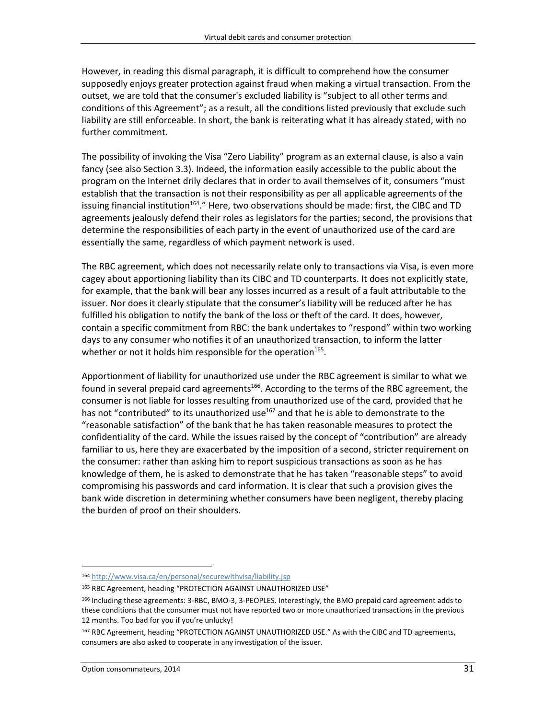However, in reading this dismal paragraph, it is difficult to comprehend how the consumer supposedly enjoys greater protection against fraud when making a virtual transaction. From the outset, we are told that the consumer's excluded liability is "subject to all other terms and conditions of this Agreement"; as a result, all the conditions listed previously that exclude such liability are still enforceable. In short, the bank is reiterating what it has already stated, with no further commitment.

The possibility of invoking the Visa "Zero Liability" program as an external clause, is also a vain fancy (see also Section 3.3). Indeed, the information easily accessible to the public about the program on the Internet drily declares that in order to avail themselves of it, consumers "must establish that the transaction is not their responsibility as per all applicable agreements of the issuing financial institution<sup>164</sup>." Here, two observations should be made: first, the CIBC and TD agreements jealously defend their roles as legislators for the parties; second, the provisions that determine the responsibilities of each party in the event of unauthorized use of the card are essentially the same, regardless of which payment network is used.

The RBC agreement, which does not necessarily relate only to transactions via Visa, is even more cagey about apportioning liability than its CIBC and TD counterparts. It does not explicitly state, for example, that the bank will bear any losses incurred as a result of a fault attributable to the issuer. Nor does it clearly stipulate that the consumer's liability will be reduced after he has fulfilled his obligation to notify the bank of the loss or theft of the card. It does, however, contain a specific commitment from RBC: the bank undertakes to "respond" within two working days to any consumer who notifies it of an unauthorized transaction, to inform the latter whether or not it holds him responsible for the operation $^{165}$ .

Apportionment of liability for unauthorized use under the RBC agreement is similar to what we found in several prepaid card agreements<sup>166</sup>. According to the terms of the RBC agreement, the consumer is not liable for losses resulting from unauthorized use of the card, provided that he has not "contributed" to its unauthorized use<sup>167</sup> and that he is able to demonstrate to the "reasonable satisfaction" of the bank that he has taken reasonable measures to protect the confidentiality of the card. While the issues raised by the concept of "contribution" are already familiar to us, here they are exacerbated by the imposition of a second, stricter requirement on the consumer: rather than asking him to report suspicious transactions as soon as he has knowledge of them, he is asked to demonstrate that he has taken "reasonable steps" to avoid compromising his passwords and card information. It is clear that such a provision gives the bank wide discretion in determining whether consumers have been negligent, thereby placing the burden of proof on their shoulders.

l

<sup>164</sup> <http://www.visa.ca/en/personal/securewithvisa/liability.jsp>

<sup>165</sup> RBC Agreement, heading "PROTECTION AGAINST UNAUTHORIZED USE"

<sup>166</sup> Including these agreements: 3-RBC, BMO-3, 3-PEOPLES. Interestingly, the BMO prepaid card agreement adds to these conditions that the consumer must not have reported two or more unauthorized transactions in the previous 12 months. Too bad for you if you're unlucky!

<sup>167</sup> RBC Agreement, heading "PROTECTION AGAINST UNAUTHORIZED USE." As with the CIBC and TD agreements, consumers are also asked to cooperate in any investigation of the issuer.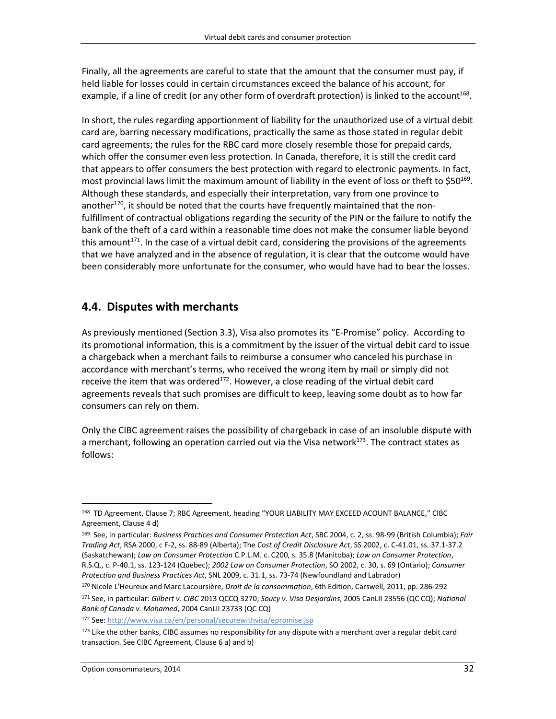Finally, all the agreements are careful to state that the amount that the consumer must pay, if held liable for losses could in certain circumstances exceed the balance of his account, for example, if a line of credit (or any other form of overdraft protection) is linked to the account<sup>168</sup>.

In short, the rules regarding apportionment of liability for the unauthorized use of a virtual debit card are, barring necessary modifications, practically the same as those stated in regular debit card agreements; the rules for the RBC card more closely resemble those for prepaid cards, which offer the consumer even less protection. In Canada, therefore, it is still the credit card that appears to offer consumers the best protection with regard to electronic payments. In fact, most provincial laws limit the maximum amount of liability in the event of loss or theft to \$50<sup>169</sup>. Although these standards, and especially their interpretation, vary from one province to another<sup>170</sup>, it should be noted that the courts have frequently maintained that the nonfulfillment of contractual obligations regarding the security of the PIN or the failure to notify the bank of the theft of a card within a reasonable time does not make the consumer liable beyond this amount $171$ . In the case of a virtual debit card, considering the provisions of the agreements that we have analyzed and in the absence of regulation, it is clear that the outcome would have been considerably more unfortunate for the consumer, who would have had to bear the losses.

### <span id="page-31-0"></span>**4.4. Disputes with merchants**

As previously mentioned (Section 3.3), Visa also promotes its "E-Promise" policy. According to its promotional information, this is a commitment by the issuer of the virtual debit card to issue a chargeback when a merchant fails to reimburse a consumer who canceled his purchase in accordance with merchant's terms, who received the wrong item by mail or simply did not receive the item that was ordered<sup>172</sup>. However, a close reading of the virtual debit card agreements reveals that such promises are difficult to keep, leaving some doubt as to how far consumers can rely on them.

Only the CIBC agreement raises the possibility of chargeback in case of an insoluble dispute with a merchant, following an operation carried out via the Visa network $^{173}$ . The contract states as follows:

 $\overline{a}$ 

<sup>168</sup> TD Agreement, Clause 7; RBC Agreement, heading "YOUR LIABILITY MAY EXCEED ACOUNT BALANCE," CIBC Agreement, Clause 4 d)

<sup>169</sup> See, in particular: *Business Practices and Consumer Protection Act*, SBC 2004, c. 2, ss. 98-99 (British Columbia); *Fair Trading Act*, RSA 2000, c F-2, ss. 88-89 (Alberta); The *Cost of Credit Disclosure Act*, SS 2002, c. C-41.01, ss. 37.1-37.2 (Saskatchewan); *Law on Consumer Protection* C.P.L.M. c. C200, s. 35.8 (Manitoba); *Law on Consumer Protection*, R.S.Q., c. P-40.1, ss. 123-124 (Quebec); *2002 Law on Consumer Protection*, SO 2002, c. 30, s. 69 (Ontario); *Consumer Protection and Business Practices Act*, SNL 2009, c. 31.1, ss. 73-74 (Newfoundland and Labrador)

<sup>170</sup> Nicole L'Heureux and Marc Lacoursière, *Droit de la consommation*, 6th Edition, Carswell, 2011, pp. 286-292 <sup>171</sup> See, in particular: *Gilbert v. CIBC* 2013 QCCQ 3270; *Soucy v. Visa Desjardins*, 2005 CanLII 23556 (QC CQ); *National Bank of Canada v. Mohamed*, 2004 CanLII 23733 (QC CQ)

<sup>172</sup> See[: http://www.visa.ca/en/personal/securewithvisa/epromise.jsp](http://www.visa.ca/en/personal/securewithvisa/epromise.jsp)

<sup>&</sup>lt;sup>173</sup> Like the other banks, CIBC assumes no responsibility for any dispute with a merchant over a regular debit card transaction. See CIBC Agreement, Clause 6 a) and b)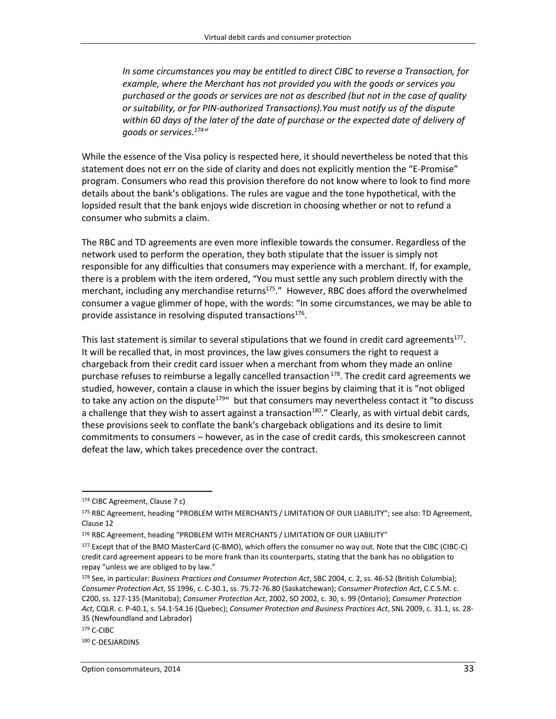*In some circumstances you may be entitled to direct CIBC to reverse a Transaction, for example, where the Merchant has not provided you with the goods or services you purchased or the goods or services are not as described (but not in the case of quality or suitability, or for PIN-authorized Transactions).You must notify us of the dispute within 60 days of the later of the date of purchase or the expected date of delivery of goods or services. 174 "*

While the essence of the Visa policy is respected here, it should nevertheless be noted that this statement does not err on the side of clarity and does not explicitly mention the "E-Promise" program. Consumers who read this provision therefore do not know where to look to find more details about the bank's obligations. The rules are vague and the tone hypothetical, with the lopsided result that the bank enjoys wide discretion in choosing whether or not to refund a consumer who submits a claim.

The RBC and TD agreements are even more inflexible towards the consumer. Regardless of the network used to perform the operation, they both stipulate that the issuer is simply not responsible for any difficulties that consumers may experience with a merchant. If, for example, there is a problem with the item ordered, "You must settle any such problem directly with the merchant, including any merchandise returns<sup>175</sup>." However, RBC does afford the overwhelmed consumer a vague glimmer of hope, with the words: "In some circumstances, we may be able to provide assistance in resolving disputed transactions $^{176}$ .

This last statement is similar to several stipulations that we found in credit card agreements<sup>177</sup>. It will be recalled that, in most provinces, the law gives consumers the right to request a chargeback from their credit card issuer when a merchant from whom they made an online purchase refuses to reimburse a legally cancelled transaction <sup>178</sup>. The credit card agreements we studied, however, contain a clause in which the issuer begins by claiming that it is "not obliged to take any action on the dispute<sup>179</sup> but that consumers may nevertheless contact it "to discuss a challenge that they wish to assert against a transaction<sup>180</sup>." Clearly, as with virtual debit cards, these provisions seek to conflate the bank's chargeback obligations and its desire to limit commitments to consumers – however, as in the case of credit cards, this smokescreen cannot defeat the law, which takes precedence over the contract.

 $\overline{a}$ 

<sup>174</sup> CIBC Agreement, Clause 7 c)

<sup>175</sup> RBC Agreement, heading "PROBLEM WITH MERCHANTS / LIMITATION OF OUR LIABILITY"; see also: TD Agreement, Clause 12

<sup>176</sup> RBC Agreement, heading "PROBLEM WITH MERCHANTS / LIMITATION OF OUR LIABILITY"

<sup>177</sup> Except that of the BMO MasterCard (C-BMO), which offers the consumer no way out. Note that the CIBC (CIBC-C) credit card agreement appears to be more frank than its counterparts, stating that the bank has no obligation to repay "unless we are obliged to by law."

<sup>178</sup> See, in particular: *Business Practices and Consumer Protection Act*, SBC 2004, c. 2, ss. 46-52 (British Columbia); *Consumer Protection Act*, SS 1996, c. C-30.1, ss. 75.72-76.80 (Saskatchewan); *Consumer Protection Act*, C.C.S.M. c. C200, ss. 127-135 (Manitoba); *Consumer Protection Act*, 2002, SO 2002, c. 30, s. 99 (Ontario); *Consumer Protection Act*, CQLR. c. P-40.1, s. 54.1-54.16 (Quebec); *Consumer Protection and Business Practices Act*, SNL 2009, c. 31.1, ss. 28- 35 (Newfoundland and Labrador)

<sup>179</sup> C-CIBC

<sup>180</sup> C-DESJARDINS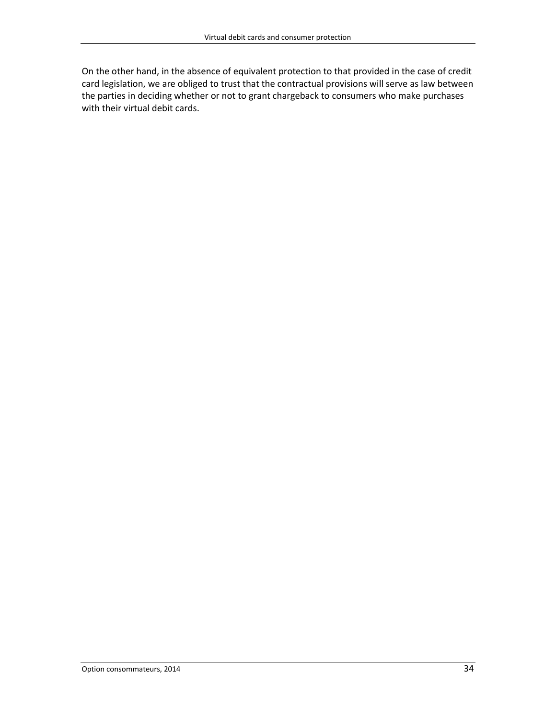On the other hand, in the absence of equivalent protection to that provided in the case of credit card legislation, we are obliged to trust that the contractual provisions will serve as law between the parties in deciding whether or not to grant chargeback to consumers who make purchases with their virtual debit cards.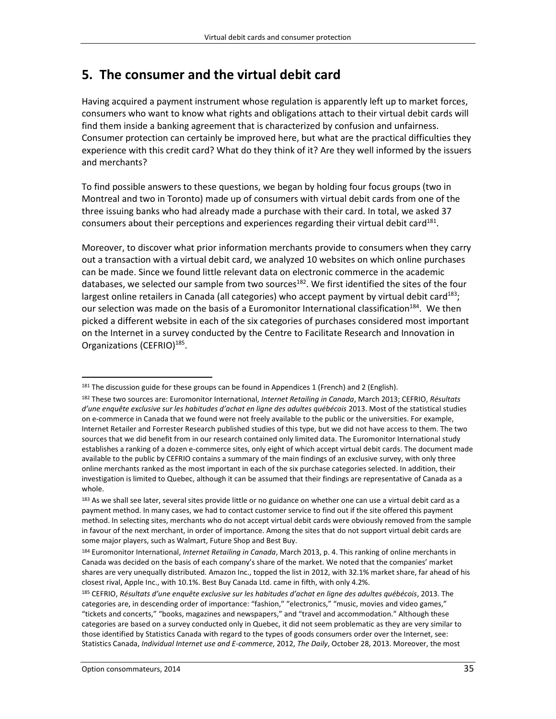## <span id="page-34-0"></span>**5. The consumer and the virtual debit card**

Having acquired a payment instrument whose regulation is apparently left up to market forces, consumers who want to know what rights and obligations attach to their virtual debit cards will find them inside a banking agreement that is characterized by confusion and unfairness. Consumer protection can certainly be improved here, but what are the practical difficulties they experience with this credit card? What do they think of it? Are they well informed by the issuers and merchants?

To find possible answers to these questions, we began by holding four focus groups (two in Montreal and two in Toronto) made up of consumers with virtual debit cards from one of the three issuing banks who had already made a purchase with their card. In total, we asked 37 consumers about their perceptions and experiences regarding their virtual debit card<sup>181</sup>.

Moreover, to discover what prior information merchants provide to consumers when they carry out a transaction with a virtual debit card, we analyzed 10 websites on which online purchases can be made. Since we found little relevant data on electronic commerce in the academic databases, we selected our sample from two sources<sup>182</sup>. We first identified the sites of the four largest online retailers in Canada (all categories) who accept payment by virtual debit card<sup>183</sup>; our selection was made on the basis of a Euromonitor International classification<sup>184</sup>. We then picked a different website in each of the six categories of purchases considered most important on the Internet in a survey conducted by the Centre to Facilitate Research and Innovation in Organizations (CEFRIO)<sup>185</sup>.

 $\overline{\phantom{a}}$ <sup>181</sup> The discussion guide for these groups can be found in Appendices 1 (French) and 2 (English).

<sup>182</sup> These two sources are: Euromonitor International, *Internet Retailing in Canada*, March 2013; CEFRIO, *Résultats d'une enquête exclusive sur les habitudes d'achat en ligne des adultes québécois* 2013. Most of the statistical studies on e-commerce in Canada that we found were not freely available to the public or the universities. For example, Internet Retailer and Forrester Research published studies of this type, but we did not have access to them. The two sources that we did benefit from in our research contained only limited data. The Euromonitor International study establishes a ranking of a dozen e-commerce sites, only eight of which accept virtual debit cards. The document made available to the public by CEFRIO contains a summary of the main findings of an exclusive survey, with only three online merchants ranked as the most important in each of the six purchase categories selected. In addition, their investigation is limited to Quebec, although it can be assumed that their findings are representative of Canada as a whole.

<sup>&</sup>lt;sup>183</sup> As we shall see later, several sites provide little or no guidance on whether one can use a virtual debit card as a payment method. In many cases, we had to contact customer service to find out if the site offered this payment method. In selecting sites, merchants who do not accept virtual debit cards were obviously removed from the sample in favour of the next merchant, in order of importance. Among the sites that do not support virtual debit cards are some major players, such as Walmart, Future Shop and Best Buy.

<sup>184</sup> Euromonitor International, *Internet Retailing in Canada*, March 2013, p. 4. This ranking of online merchants in Canada was decided on the basis of each company's share of the market. We noted that the companies' market shares are very unequally distributed. Amazon Inc., topped the list in 2012, with 32.1% market share, far ahead of his closest rival, Apple Inc., with 10.1%. Best Buy Canada Ltd. came in fifth, with only 4.2%.

<sup>185</sup> CEFRIO, *Résultats d'une enquête exclusive sur les habitudes d'achat en ligne des adultes québécois*, 2013. The categories are, in descending order of importance: "fashion," "electronics," "music, movies and video games," "tickets and concerts," "books, magazines and newspapers," and "travel and accommodation." Although these categories are based on a survey conducted only in Quebec, it did not seem problematic as they are very similar to those identified by Statistics Canada with regard to the types of goods consumers order over the Internet, see: Statistics Canada, *Individual Internet use and E-commerce*, 2012, *The Daily*, October 28, 2013. Moreover, the most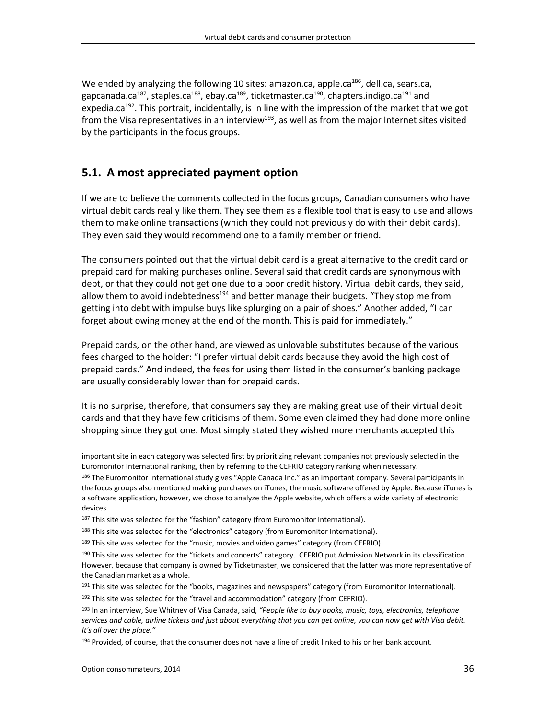We ended by analyzing the following 10 sites: amazon.ca, apple.ca<sup>186</sup>, dell.ca, sears.ca, gapcanada.ca<sup>187</sup>, staples.ca<sup>188</sup>, ebay.ca<sup>189</sup>, ticketmaster.ca<sup>190</sup>, chapters.indigo.ca<sup>191</sup> and expedia.ca<sup>192</sup>. This portrait, incidentally, is in line with the impression of the market that we got from the Visa representatives in an interview<sup>193</sup>, as well as from the major Internet sites visited by the participants in the focus groups.

### <span id="page-35-0"></span>**5.1. A most appreciated payment option**

If we are to believe the comments collected in the focus groups, Canadian consumers who have virtual debit cards really like them. They see them as a flexible tool that is easy to use and allows them to make online transactions (which they could not previously do with their debit cards). They even said they would recommend one to a family member or friend.

The consumers pointed out that the virtual debit card is a great alternative to the credit card or prepaid card for making purchases online. Several said that credit cards are synonymous with debt, or that they could not get one due to a poor credit history. Virtual debit cards, they said, allow them to avoid indebtedness<sup>194</sup> and better manage their budgets. "They stop me from getting into debt with impulse buys like splurging on a pair of shoes." Another added, "I can forget about owing money at the end of the month. This is paid for immediately."

Prepaid cards, on the other hand, are viewed as unlovable substitutes because of the various fees charged to the holder: "I prefer virtual debit cards because they avoid the high cost of prepaid cards." And indeed, the fees for using them listed in the consumer's banking package are usually considerably lower than for prepaid cards.

It is no surprise, therefore, that consumers say they are making great use of their virtual debit cards and that they have few criticisms of them. Some even claimed they had done more online shopping since they got one. Most simply stated they wished more merchants accepted this

 $\overline{a}$ 

important site in each category was selected first by prioritizing relevant companies not previously selected in the Euromonitor International ranking, then by referring to the CEFRIO category ranking when necessary.

<sup>186</sup> The Euromonitor International study gives "Apple Canada Inc." as an important company. Several participants in the focus groups also mentioned making purchases on iTunes, the music software offered by Apple. Because iTunes is a software application, however, we chose to analyze the Apple website, which offers a wide variety of electronic devices.

<sup>&</sup>lt;sup>187</sup> This site was selected for the "fashion" category (from Euromonitor International).

<sup>&</sup>lt;sup>188</sup> This site was selected for the "electronics" category (from Euromonitor International).

<sup>189</sup> This site was selected for the "music, movies and video games" category (from CEFRIO).

<sup>190</sup> This site was selected for the "tickets and concerts" category. CEFRIO put Admission Network in its classification. However, because that company is owned by Ticketmaster, we considered that the latter was more representative of the Canadian market as a whole.

<sup>191</sup> This site was selected for the "books, magazines and newspapers" category (from Euromonitor International).  $192$  This site was selected for the "travel and accommodation" category (from CEFRIO).

<sup>193</sup> In an interview, Sue Whitney of Visa Canada, said, *"People like to buy books, music, toys, electronics, telephone services and cable, airline tickets and just about everything that you can get online, you can now get with Visa debit. It's all over the place."*

<sup>194</sup> Provided, of course, that the consumer does not have a line of credit linked to his or her bank account.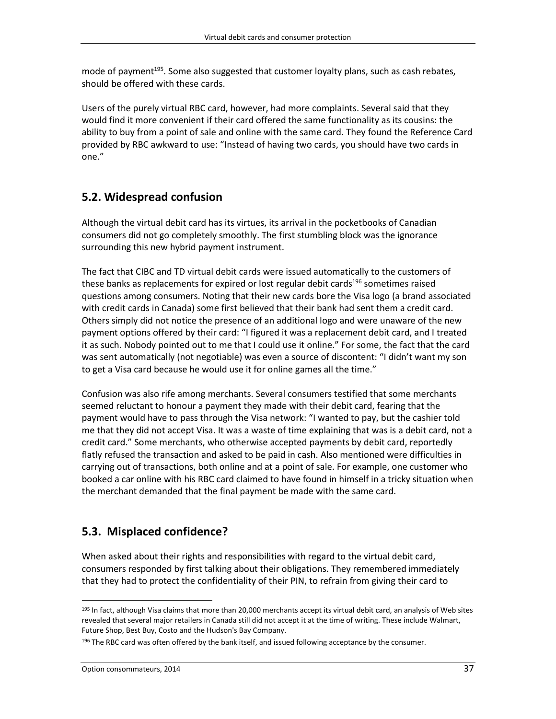mode of payment<sup>195</sup>. Some also suggested that customer loyalty plans, such as cash rebates, should be offered with these cards.

Users of the purely virtual RBC card, however, had more complaints. Several said that they would find it more convenient if their card offered the same functionality as its cousins: the ability to buy from a point of sale and online with the same card. They found the Reference Card provided by RBC awkward to use: "Instead of having two cards, you should have two cards in one."

### <span id="page-36-0"></span>**5.2. Widespread confusion**

Although the virtual debit card has its virtues, its arrival in the pocketbooks of Canadian consumers did not go completely smoothly. The first stumbling block was the ignorance surrounding this new hybrid payment instrument.

The fact that CIBC and TD virtual debit cards were issued automatically to the customers of these banks as replacements for expired or lost regular debit cards <sup>196</sup> sometimes raised questions among consumers. Noting that their new cards bore the Visa logo (a brand associated with credit cards in Canada) some first believed that their bank had sent them a credit card. Others simply did not notice the presence of an additional logo and were unaware of the new payment options offered by their card: "I figured it was a replacement debit card, and I treated it as such. Nobody pointed out to me that I could use it online." For some, the fact that the card was sent automatically (not negotiable) was even a source of discontent: "I didn't want my son to get a Visa card because he would use it for online games all the time."

Confusion was also rife among merchants. Several consumers testified that some merchants seemed reluctant to honour a payment they made with their debit card, fearing that the payment would have to pass through the Visa network: "I wanted to pay, but the cashier told me that they did not accept Visa. It was a waste of time explaining that was is a debit card, not a credit card." Some merchants, who otherwise accepted payments by debit card, reportedly flatly refused the transaction and asked to be paid in cash. Also mentioned were difficulties in carrying out of transactions, both online and at a point of sale. For example, one customer who booked a car online with his RBC card claimed to have found in himself in a tricky situation when the merchant demanded that the final payment be made with the same card.

## <span id="page-36-1"></span>**5.3. Misplaced confidence?**

When asked about their rights and responsibilities with regard to the virtual debit card, consumers responded by first talking about their obligations. They remembered immediately that they had to protect the confidentiality of their PIN, to refrain from giving their card to

 $\overline{\phantom{a}}$ <sup>195</sup> In fact, although Visa claims that more than 20,000 merchants accept its virtual debit card, an analysis of Web sites revealed that several major retailers in Canada still did not accept it at the time of writing. These include Walmart, Future Shop, Best Buy, Costo and the Hudson's Bay Company.

<sup>&</sup>lt;sup>196</sup> The RBC card was often offered by the bank itself, and issued following acceptance by the consumer.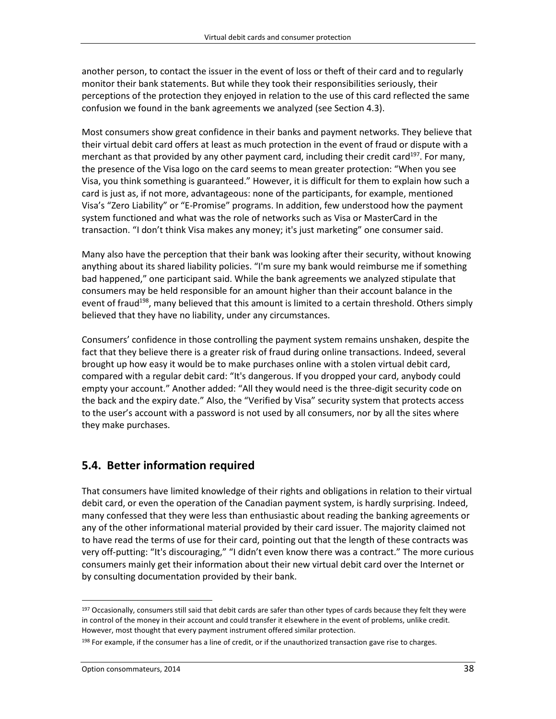another person, to contact the issuer in the event of loss or theft of their card and to regularly monitor their bank statements. But while they took their responsibilities seriously, their perceptions of the protection they enjoyed in relation to the use of this card reflected the same confusion we found in the bank agreements we analyzed (see Section 4.3).

Most consumers show great confidence in their banks and payment networks. They believe that their virtual debit card offers at least as much protection in the event of fraud or dispute with a merchant as that provided by any other payment card, including their credit card<sup>197</sup>. For many, the presence of the Visa logo on the card seems to mean greater protection: "When you see Visa, you think something is guaranteed." However, it is difficult for them to explain how such a card is just as, if not more, advantageous: none of the participants, for example, mentioned Visa's "Zero Liability" or "E-Promise" programs. In addition, few understood how the payment system functioned and what was the role of networks such as Visa or MasterCard in the transaction. "I don't think Visa makes any money; it's just marketing" one consumer said.

Many also have the perception that their bank was looking after their security, without knowing anything about its shared liability policies. "I'm sure my bank would reimburse me if something bad happened," one participant said. While the bank agreements we analyzed stipulate that consumers may be held responsible for an amount higher than their account balance in the event of fraud<sup>198</sup>, many believed that this amount is limited to a certain threshold. Others simply believed that they have no liability, under any circumstances.

Consumers' confidence in those controlling the payment system remains unshaken, despite the fact that they believe there is a greater risk of fraud during online transactions. Indeed, several brought up how easy it would be to make purchases online with a stolen virtual debit card, compared with a regular debit card: "It's dangerous. If you dropped your card, anybody could empty your account." Another added: "All they would need is the three-digit security code on the back and the expiry date." Also, the "Verified by Visa" security system that protects access to the user's account with a password is not used by all consumers, nor by all the sites where they make purchases.

## <span id="page-37-0"></span>**5.4. Better information required**

That consumers have limited knowledge of their rights and obligations in relation to their virtual debit card, or even the operation of the Canadian payment system, is hardly surprising. Indeed, many confessed that they were less than enthusiastic about reading the banking agreements or any of the other informational material provided by their card issuer. The majority claimed not to have read the terms of use for their card, pointing out that the length of these contracts was very off-putting: "It's discouraging," "I didn't even know there was a contract." The more curious consumers mainly get their information about their new virtual debit card over the Internet or by consulting documentation provided by their bank.

 $\overline{\phantom{a}}$ <sup>197</sup> Occasionally, consumers still said that debit cards are safer than other types of cards because they felt they were in control of the money in their account and could transfer it elsewhere in the event of problems, unlike credit. However, most thought that every payment instrument offered similar protection.

<sup>&</sup>lt;sup>198</sup> For example, if the consumer has a line of credit, or if the unauthorized transaction gave rise to charges.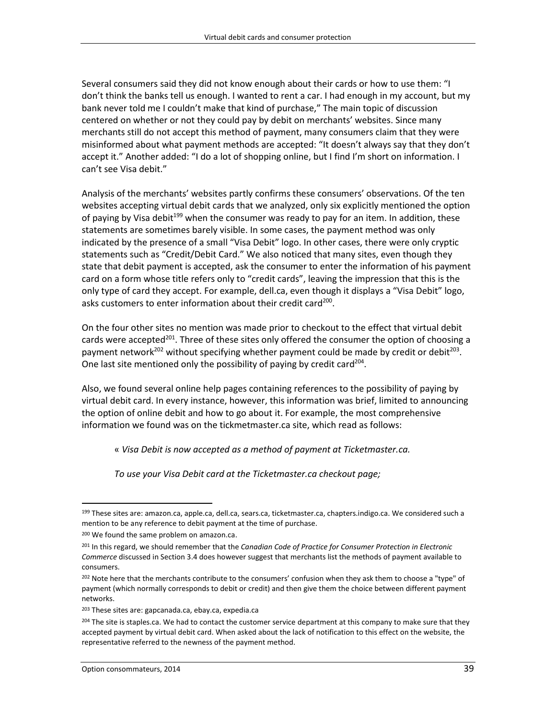Several consumers said they did not know enough about their cards or how to use them: "I don't think the banks tell us enough. I wanted to rent a car. I had enough in my account, but my bank never told me I couldn't make that kind of purchase," The main topic of discussion centered on whether or not they could pay by debit on merchants' websites. Since many merchants still do not accept this method of payment, many consumers claim that they were misinformed about what payment methods are accepted: "It doesn't always say that they don't accept it." Another added: "I do a lot of shopping online, but I find I'm short on information. I can't see Visa debit."

Analysis of the merchants' websites partly confirms these consumers' observations. Of the ten websites accepting virtual debit cards that we analyzed, only six explicitly mentioned the option of paying by Visa debit<sup>199</sup> when the consumer was ready to pay for an item. In addition, these statements are sometimes barely visible. In some cases, the payment method was only indicated by the presence of a small "Visa Debit" logo. In other cases, there were only cryptic statements such as "Credit/Debit Card." We also noticed that many sites, even though they state that debit payment is accepted, ask the consumer to enter the information of his payment card on a form whose title refers only to "credit cards", leaving the impression that this is the only type of card they accept. For example, dell.ca, even though it displays a "Visa Debit" logo, asks customers to enter information about their credit card<sup>200</sup>.

On the four other sites no mention was made prior to checkout to the effect that virtual debit cards were accepted<sup>201</sup>. Three of these sites only offered the consumer the option of choosing a payment network<sup>202</sup> without specifying whether payment could be made by credit or debit<sup>203</sup>. One last site mentioned only the possibility of paying by credit card<sup>204</sup>.

Also, we found several online help pages containing references to the possibility of paying by virtual debit card. In every instance, however, this information was brief, limited to announcing the option of online debit and how to go about it. For example, the most comprehensive information we found was on the tickmetmaster.ca site, which read as follows:

« *Visa Debit is now accepted as a method of payment at Ticketmaster.ca.*

*To use your Visa Debit card at the Ticketmaster.ca checkout page;*

 $\overline{a}$ 

<sup>199</sup> These sites are: amazon.ca, apple.ca, dell.ca, sears.ca, ticketmaster.ca, chapters.indigo.ca. We considered such a mention to be any reference to debit payment at the time of purchase.

<sup>200</sup> We found the same problem on amazon.ca.

<sup>201</sup> In this regard, we should remember that the *Canadian Code of Practice for Consumer Protection in Electronic Commerce* discussed in Section 3.4 does however suggest that merchants list the methods of payment available to consumers.

<sup>202</sup> Note here that the merchants contribute to the consumers' confusion when they ask them to choose a "type" of payment (which normally corresponds to debit or credit) and then give them the choice between different payment networks.

<sup>&</sup>lt;sup>203</sup> These sites are: gapcanada.ca, ebay.ca, expedia.ca

<sup>&</sup>lt;sup>204</sup> The site is staples.ca. We had to contact the customer service department at this company to make sure that they accepted payment by virtual debit card. When asked about the lack of notification to this effect on the website, the representative referred to the newness of the payment method.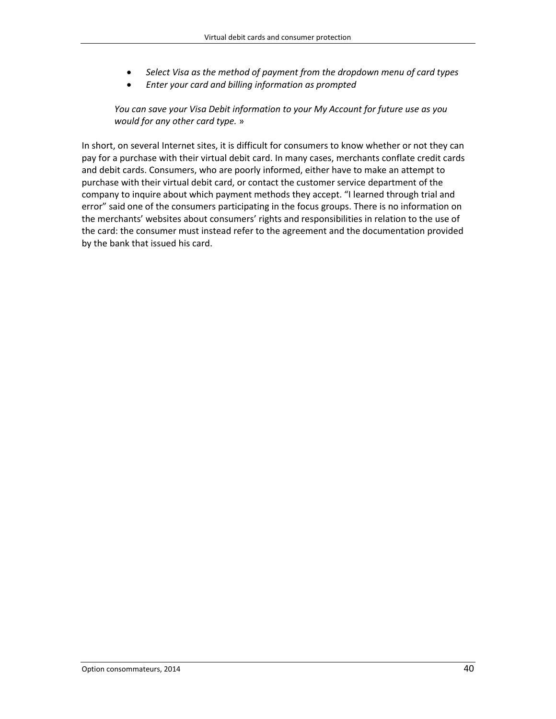- *Select Visa as the method of payment from the dropdown menu of card types*
- *Enter your card and billing information as prompted*

*You can save your Visa Debit information to your My Account for future use as you would for any other card type.* »

In short, on several Internet sites, it is difficult for consumers to know whether or not they can pay for a purchase with their virtual debit card. In many cases, merchants conflate credit cards and debit cards. Consumers, who are poorly informed, either have to make an attempt to purchase with their virtual debit card, or contact the customer service department of the company to inquire about which payment methods they accept. "I learned through trial and error" said one of the consumers participating in the focus groups. There is no information on the merchants' websites about consumers' rights and responsibilities in relation to the use of the card: the consumer must instead refer to the agreement and the documentation provided by the bank that issued his card.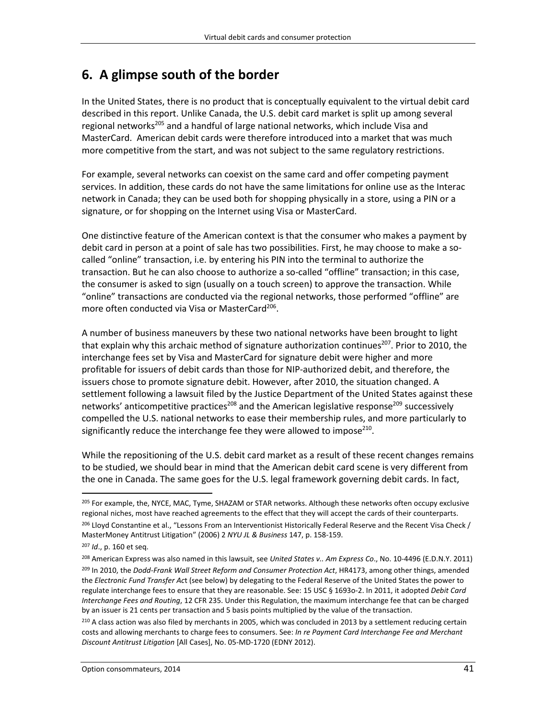## <span id="page-40-0"></span>**6. A glimpse south of the border**

In the United States, there is no product that is conceptually equivalent to the virtual debit card described in this report. Unlike Canada, the U.S. debit card market is split up among several regional networks<sup>205</sup> and a handful of large national networks, which include Visa and MasterCard. American debit cards were therefore introduced into a market that was much more competitive from the start, and was not subject to the same regulatory restrictions.

For example, several networks can coexist on the same card and offer competing payment services. In addition, these cards do not have the same limitations for online use as the Interac network in Canada; they can be used both for shopping physically in a store, using a PIN or a signature, or for shopping on the Internet using Visa or MasterCard.

One distinctive feature of the American context is that the consumer who makes a payment by debit card in person at a point of sale has two possibilities. First, he may choose to make a socalled "online" transaction, i.e. by entering his PIN into the terminal to authorize the transaction. But he can also choose to authorize a so-called "offline" transaction; in this case, the consumer is asked to sign (usually on a touch screen) to approve the transaction. While "online" transactions are conducted via the regional networks, those performed "offline" are more often conducted via Visa or MasterCard<sup>206</sup>.

A number of business maneuvers by these two national networks have been brought to light that explain why this archaic method of signature authorization continues<sup>207</sup>. Prior to 2010, the interchange fees set by Visa and MasterCard for signature debit were higher and more profitable for issuers of debit cards than those for NIP-authorized debit, and therefore, the issuers chose to promote signature debit. However, after 2010, the situation changed. A settlement following a lawsuit filed by the Justice Department of the United States against these networks' anticompetitive practices<sup>208</sup> and the American legislative response<sup>209</sup> successively compelled the U.S. national networks to ease their membership rules, and more particularly to significantly reduce the interchange fee they were allowed to impose<sup>210</sup>.

While the repositioning of the U.S. debit card market as a result of these recent changes remains to be studied, we should bear in mind that the American debit card scene is very different from the one in Canada. The same goes for the U.S. legal framework governing debit cards. In fact,

<sup>205</sup> For example, the, NYCE, MAC, Tyme, SHAZAM or STAR networks. Although these networks often occupy exclusive regional niches, most have reached agreements to the effect that they will accept the cards of their counterparts. 206 Lloyd Constantine et al., "Lessons From an Interventionist Historically Federal Reserve and the Recent Visa Check / MasterMoney Antitrust Litigation" (2006) 2 *NYU JL & Business* 147, p. 158-159.

<sup>207</sup> *Id*., p. 160 et seq.

<sup>208</sup> American Express was also named in this lawsuit, see *United States v.. Am Express Co*., No. 10-4496 (E.D.N.Y. 2011)

<sup>209</sup> In 2010, the *Dodd-Frank Wall Street Reform and Consumer Protection Act*, HR4173, among other things, amended the *Electronic Fund Transfer Ac*t (see below) by delegating to the Federal Reserve of the United States the power to regulate interchange fees to ensure that they are reasonable. See: 15 USC § 1693o-2. In 2011, it adopted *Debit Card Interchange Fees and Routing*, 12 CFR 235. Under this Regulation, the maximum interchange fee that can be charged by an issuer is 21 cents per transaction and 5 basis points multiplied by the value of the transaction.

<sup>&</sup>lt;sup>210</sup> A class action was also filed by merchants in 2005, which was concluded in 2013 by a settlement reducing certain costs and allowing merchants to charge fees to consumers. See: *In re Payment Card Interchange Fee and Merchant Discount Antitrust Litigation* [All Cases], No. 05-MD-1720 (EDNY 2012).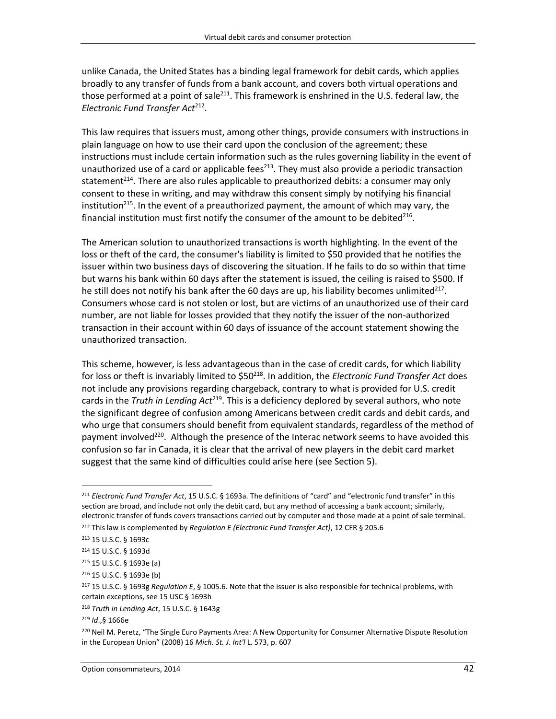unlike Canada, the United States has a binding legal framework for debit cards, which applies broadly to any transfer of funds from a bank account, and covers both virtual operations and those performed at a point of sale<sup>211</sup>. This framework is enshrined in the U.S. federal law, the Electronic Fund Transfer Act<sup>212</sup>.

This law requires that issuers must, among other things, provide consumers with instructions in plain language on how to use their card upon the conclusion of the agreement; these instructions must include certain information such as the rules governing liability in the event of unauthorized use of a card or applicable fees<sup>213</sup>. They must also provide a periodic transaction statement<sup>214</sup>. There are also rules applicable to preauthorized debits: a consumer may only consent to these in writing, and may withdraw this consent simply by notifying his financial institution<sup>215</sup>. In the event of a preauthorized payment, the amount of which may vary, the financial institution must first notify the consumer of the amount to be debited<sup>216</sup>.

The American solution to unauthorized transactions is worth highlighting. In the event of the loss or theft of the card, the consumer's liability is limited to \$50 provided that he notifies the issuer within two business days of discovering the situation. If he fails to do so within that time but warns his bank within 60 days after the statement is issued, the ceiling is raised to \$500. If he still does not notify his bank after the 60 days are up, his liability becomes unlimited<sup>217</sup>. Consumers whose card is not stolen or lost, but are victims of an unauthorized use of their card number, are not liable for losses provided that they notify the issuer of the non-authorized transaction in their account within 60 days of issuance of the account statement showing the unauthorized transaction.

This scheme, however, is less advantageous than in the case of credit cards, for which liability for loss or theft is invariably limited to \$50<sup>218</sup>. In addition, the *Electronic Fund Transfer Act* does not include any provisions regarding chargeback, contrary to what is provided for U.S. credit cards in the *Truth in Lending Act*<sup>219</sup>. This is a deficiency deplored by several authors, who note the significant degree of confusion among Americans between credit cards and debit cards, and who urge that consumers should benefit from equivalent standards, regardless of the method of payment involved<sup>220</sup>. Although the presence of the Interac network seems to have avoided this confusion so far in Canada, it is clear that the arrival of new players in the debit card market suggest that the same kind of difficulties could arise here (see Section 5).

 $\overline{a}$ <sup>211</sup> *Electronic Fund Transfer Act*, 15 U.S.C. § 1693a. The definitions of "card" and "electronic fund transfer" in this section are broad, and include not only the debit card, but any method of accessing a bank account; similarly, electronic transfer of funds covers transactions carried out by computer and those made at a point of sale terminal. <sup>212</sup> This law is complemented by *Regulation E (Electronic Fund Transfer Act)*, 12 CFR § 205.6

<sup>213</sup> 15 U.S.C. § 1693c

<sup>214</sup> 15 U.S.C. § 1693d

<sup>215</sup> 15 U.S.C. § 1693e (a)

<sup>216</sup> 15 U.S.C. § 1693e (b)

<sup>217</sup> 15 U.S.C. § 1693g *Regulation E*, § 1005.6. Note that the issuer is also responsible for technical problems, with certain exceptions, see 15 USC § 1693h

<sup>218</sup> *Truth in Lending Act*, 15 U.S.C. § 1643g

<sup>219</sup> *Id*.,§ 1666e

<sup>&</sup>lt;sup>220</sup> Neil M. Peretz, "The Single Euro Payments Area: A New Opportunity for Consumer Alternative Dispute Resolution in the European Union" (2008) 16 *Mich. St. J. Int'l* L. 573, p. 607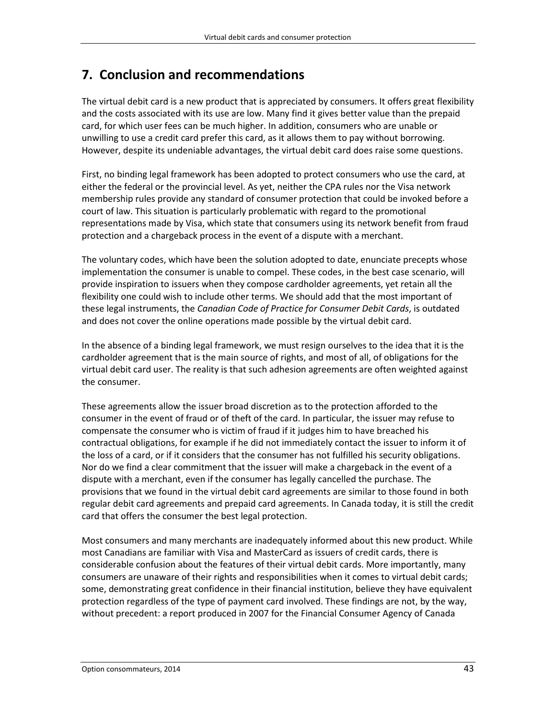## <span id="page-42-0"></span>**7. Conclusion and recommendations**

The virtual debit card is a new product that is appreciated by consumers. It offers great flexibility and the costs associated with its use are low. Many find it gives better value than the prepaid card, for which user fees can be much higher. In addition, consumers who are unable or unwilling to use a credit card prefer this card, as it allows them to pay without borrowing. However, despite its undeniable advantages, the virtual debit card does raise some questions.

First, no binding legal framework has been adopted to protect consumers who use the card, at either the federal or the provincial level. As yet, neither the CPA rules nor the Visa network membership rules provide any standard of consumer protection that could be invoked before a court of law. This situation is particularly problematic with regard to the promotional representations made by Visa, which state that consumers using its network benefit from fraud protection and a chargeback process in the event of a dispute with a merchant.

The voluntary codes, which have been the solution adopted to date, enunciate precepts whose implementation the consumer is unable to compel. These codes, in the best case scenario, will provide inspiration to issuers when they compose cardholder agreements, yet retain all the flexibility one could wish to include other terms. We should add that the most important of these legal instruments, the *Canadian Code of Practice for Consumer Debit Cards*, is outdated and does not cover the online operations made possible by the virtual debit card.

In the absence of a binding legal framework, we must resign ourselves to the idea that it is the cardholder agreement that is the main source of rights, and most of all, of obligations for the virtual debit card user. The reality is that such adhesion agreements are often weighted against the consumer.

These agreements allow the issuer broad discretion as to the protection afforded to the consumer in the event of fraud or of theft of the card. In particular, the issuer may refuse to compensate the consumer who is victim of fraud if it judges him to have breached his contractual obligations, for example if he did not immediately contact the issuer to inform it of the loss of a card, or if it considers that the consumer has not fulfilled his security obligations. Nor do we find a clear commitment that the issuer will make a chargeback in the event of a dispute with a merchant, even if the consumer has legally cancelled the purchase. The provisions that we found in the virtual debit card agreements are similar to those found in both regular debit card agreements and prepaid card agreements. In Canada today, it is still the credit card that offers the consumer the best legal protection.

Most consumers and many merchants are inadequately informed about this new product. While most Canadians are familiar with Visa and MasterCard as issuers of credit cards, there is considerable confusion about the features of their virtual debit cards. More importantly, many consumers are unaware of their rights and responsibilities when it comes to virtual debit cards; some, demonstrating great confidence in their financial institution, believe they have equivalent protection regardless of the type of payment card involved. These findings are not, by the way, without precedent: a report produced in 2007 for the Financial Consumer Agency of Canada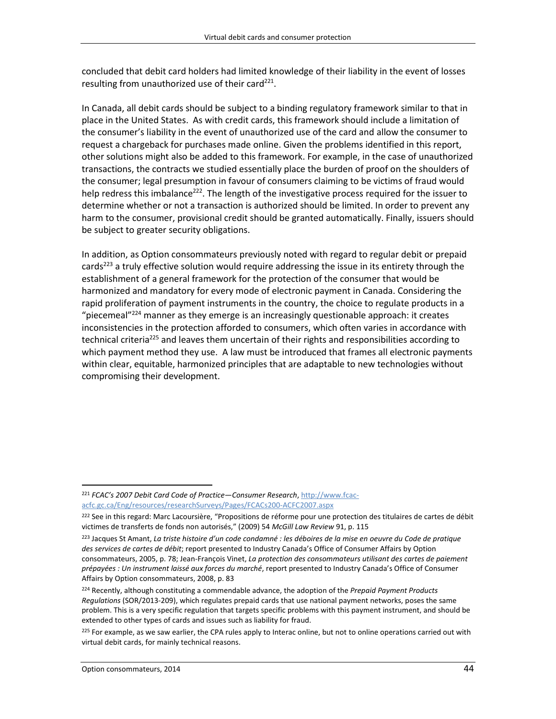concluded that debit card holders had limited knowledge of their liability in the event of losses resulting from unauthorized use of their card<sup>221</sup>.

In Canada, all debit cards should be subject to a binding regulatory framework similar to that in place in the United States. As with credit cards, this framework should include a limitation of the consumer's liability in the event of unauthorized use of the card and allow the consumer to request a chargeback for purchases made online. Given the problems identified in this report, other solutions might also be added to this framework. For example, in the case of unauthorized transactions, the contracts we studied essentially place the burden of proof on the shoulders of the consumer; legal presumption in favour of consumers claiming to be victims of fraud would help redress this imbalance<sup>222</sup>. The length of the investigative process required for the issuer to determine whether or not a transaction is authorized should be limited. In order to prevent any harm to the consumer, provisional credit should be granted automatically. Finally, issuers should be subject to greater security obligations.

In addition, as Option consommateurs previously noted with regard to regular debit or prepaid cards<sup>223</sup> a truly effective solution would require addressing the issue in its entirety through the establishment of a general framework for the protection of the consumer that would be harmonized and mandatory for every mode of electronic payment in Canada. Considering the rapid proliferation of payment instruments in the country, the choice to regulate products in a "piecemeal"<sup>224</sup> manner as they emerge is an increasingly questionable approach: it creates inconsistencies in the protection afforded to consumers, which often varies in accordance with technical criteria<sup>225</sup> and leaves them uncertain of their rights and responsibilities according to which payment method they use. A law must be introduced that frames all electronic payments within clear, equitable, harmonized principles that are adaptable to new technologies without compromising their development.

<sup>221</sup> *FCAC's 2007 Debit Card Code of Practice—Consumer Research*[, http://www.fcac](http://www.fcac-acfc.gc.ca/Eng/resources/researchSurveys/Pages/FCACs200-ACFC2007.aspx)[acfc.gc.ca/Eng/resources/researchSurveys/Pages/FCACs200-ACFC2007.aspx](http://www.fcac-acfc.gc.ca/Eng/resources/researchSurveys/Pages/FCACs200-ACFC2007.aspx)

<sup>&</sup>lt;sup>222</sup> See in this regard: Marc Lacoursière, "Propositions de réforme pour une protection des titulaires de cartes de débit victimes de transferts de fonds non autorisés," (2009) 54 *McGill Law Review* 91, p. 115

<sup>223</sup> Jacques St Amant, *La triste histoire d'un code condamné : les déboires de la mise en oeuvre du Code de pratique des services de cartes de débit*; report presented to Industry Canada's Office of Consumer Affairs by Option consommateurs, 2005, p. 78; Jean-François Vinet, *La protection des consommateurs utilisant des cartes de paiement prépayées : Un instrument laissé aux forces du marché*, report presented to Industry Canada's Office of Consumer Affairs by Option consommateurs, 2008, p. 83

<sup>224</sup> Recently, although constituting a commendable advance, the adoption of the *Prepaid Payment Products Regulations* (SOR/2013-209), which regulates prepaid cards that use national payment networks, poses the same problem. This is a very specific regulation that targets specific problems with this payment instrument, and should be extended to other types of cards and issues such as liability for fraud.

<sup>&</sup>lt;sup>225</sup> For example, as we saw earlier, the CPA rules apply to Interac online, but not to online operations carried out with virtual debit cards, for mainly technical reasons.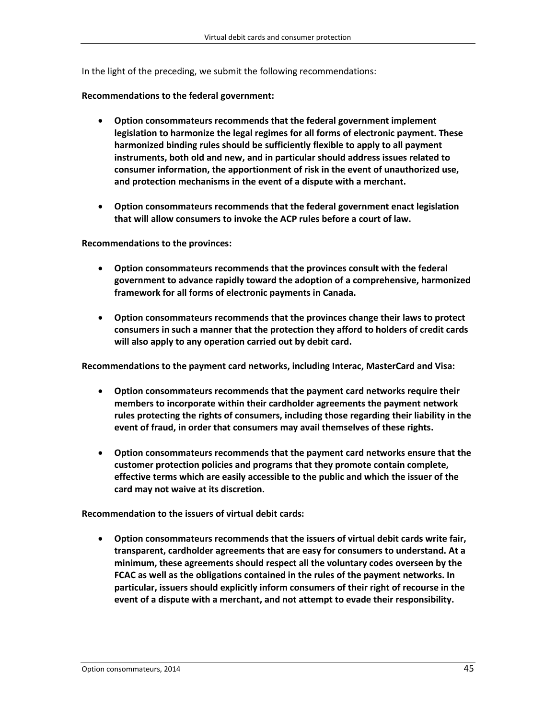In the light of the preceding, we submit the following recommendations:

#### **Recommendations to the federal government:**

- **Option consommateurs recommends that the federal government implement legislation to harmonize the legal regimes for all forms of electronic payment. These harmonized binding rules should be sufficiently flexible to apply to all payment instruments, both old and new, and in particular should address issues related to consumer information, the apportionment of risk in the event of unauthorized use, and protection mechanisms in the event of a dispute with a merchant.**
- **Option consommateurs recommends that the federal government enact legislation that will allow consumers to invoke the ACP rules before a court of law.**

**Recommendations to the provinces:**

- **Option consommateurs recommends that the provinces consult with the federal government to advance rapidly toward the adoption of a comprehensive, harmonized framework for all forms of electronic payments in Canada.**
- **Option consommateurs recommends that the provinces change their laws to protect consumers in such a manner that the protection they afford to holders of credit cards will also apply to any operation carried out by debit card.**

**Recommendations to the payment card networks, including Interac, MasterCard and Visa:**

- **Option consommateurs recommends that the payment card networks require their members to incorporate within their cardholder agreements the payment network rules protecting the rights of consumers, including those regarding their liability in the event of fraud, in order that consumers may avail themselves of these rights.**
- **Option consommateurs recommends that the payment card networks ensure that the customer protection policies and programs that they promote contain complete, effective terms which are easily accessible to the public and which the issuer of the card may not waive at its discretion.**

**Recommendation to the issuers of virtual debit cards:**

 **Option consommateurs recommends that the issuers of virtual debit cards write fair, transparent, cardholder agreements that are easy for consumers to understand. At a minimum, these agreements should respect all the voluntary codes overseen by the FCAC as well as the obligations contained in the rules of the payment networks. In particular, issuers should explicitly inform consumers of their right of recourse in the event of a dispute with a merchant, and not attempt to evade their responsibility.**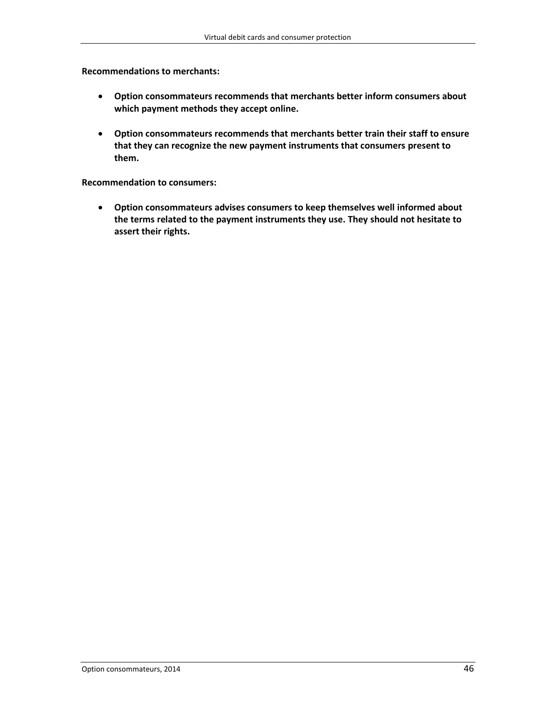**Recommendations to merchants:**

- **Option consommateurs recommends that merchants better inform consumers about which payment methods they accept online.**
- **Option consommateurs recommends that merchants better train their staff to ensure that they can recognize the new payment instruments that consumers present to them.**

**Recommendation to consumers:**

 **Option consommateurs advises consumers to keep themselves well informed about the terms related to the payment instruments they use. They should not hesitate to assert their rights.**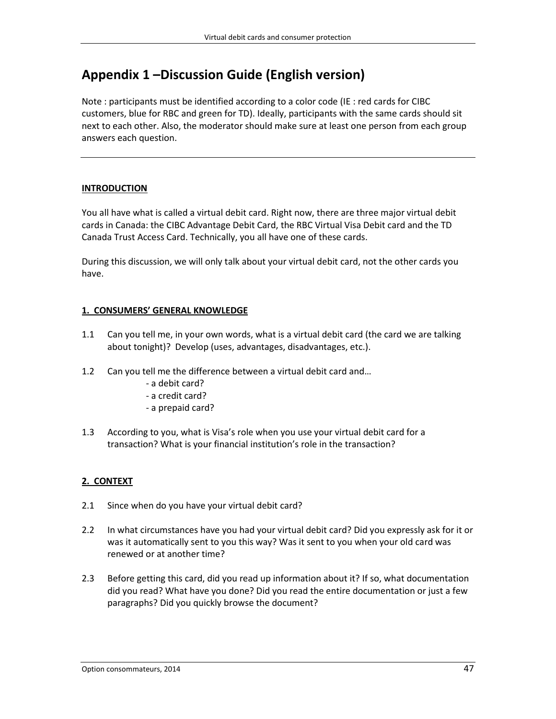## <span id="page-46-0"></span>**Appendix 1 –Discussion Guide (English version)**

Note : participants must be identified according to a color code (IE : red cards for CIBC customers, blue for RBC and green for TD). Ideally, participants with the same cards should sit next to each other. Also, the moderator should make sure at least one person from each group answers each question.

### **INTRODUCTION**

You all have what is called a virtual debit card. Right now, there are three major virtual debit cards in Canada: the CIBC Advantage Debit Card, the RBC Virtual Visa Debit card and the TD Canada Trust Access Card. Technically, you all have one of these cards.

During this discussion, we will only talk about your virtual debit card, not the other cards you have.

### **1. CONSUMERS' GENERAL KNOWLEDGE**

- 1.1 Can you tell me, in your own words, what is a virtual debit card (the card we are talking about tonight)? Develop (uses, advantages, disadvantages, etc.).
- 1.2 Can you tell me the difference between a virtual debit card and…
	- a debit card?
	- a credit card?
	- a prepaid card?
- 1.3 According to you, what is Visa's role when you use your virtual debit card for a transaction? What is your financial institution's role in the transaction?

### **2. CONTEXT**

- 2.1 Since when do you have your virtual debit card?
- 2.2 In what circumstances have you had your virtual debit card? Did you expressly ask for it or was it automatically sent to you this way? Was it sent to you when your old card was renewed or at another time?
- 2.3 Before getting this card, did you read up information about it? If so, what documentation did you read? What have you done? Did you read the entire documentation or just a few paragraphs? Did you quickly browse the document?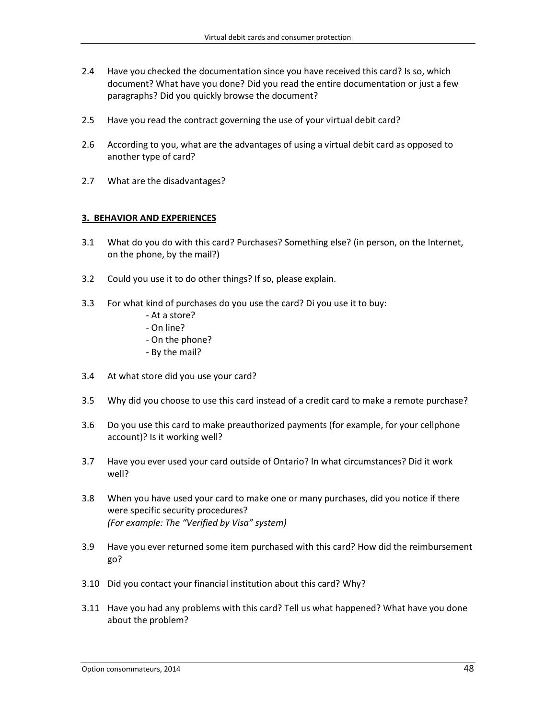- 2.4 Have you checked the documentation since you have received this card? Is so, which document? What have you done? Did you read the entire documentation or just a few paragraphs? Did you quickly browse the document?
- 2.5 Have you read the contract governing the use of your virtual debit card?
- 2.6 According to you, what are the advantages of using a virtual debit card as opposed to another type of card?
- 2.7 What are the disadvantages?

#### **3. BEHAVIOR AND EXPERIENCES**

- 3.1 What do you do with this card? Purchases? Something else? (in person, on the Internet, on the phone, by the mail?)
- 3.2 Could you use it to do other things? If so, please explain.
- 3.3 For what kind of purchases do you use the card? Di you use it to buy:
	- At a store?
	- On line?
	- On the phone?
	- By the mail?
- 3.4 At what store did you use your card?
- 3.5 Why did you choose to use this card instead of a credit card to make a remote purchase?
- 3.6 Do you use this card to make preauthorized payments (for example, for your cellphone account)? Is it working well?
- 3.7 Have you ever used your card outside of Ontario? In what circumstances? Did it work well?
- 3.8 When you have used your card to make one or many purchases, did you notice if there were specific security procedures? *(For example: The "Verified by Visa" system)*
- 3.9 Have you ever returned some item purchased with this card? How did the reimbursement go?
- 3.10 Did you contact your financial institution about this card? Why?
- 3.11 Have you had any problems with this card? Tell us what happened? What have you done about the problem?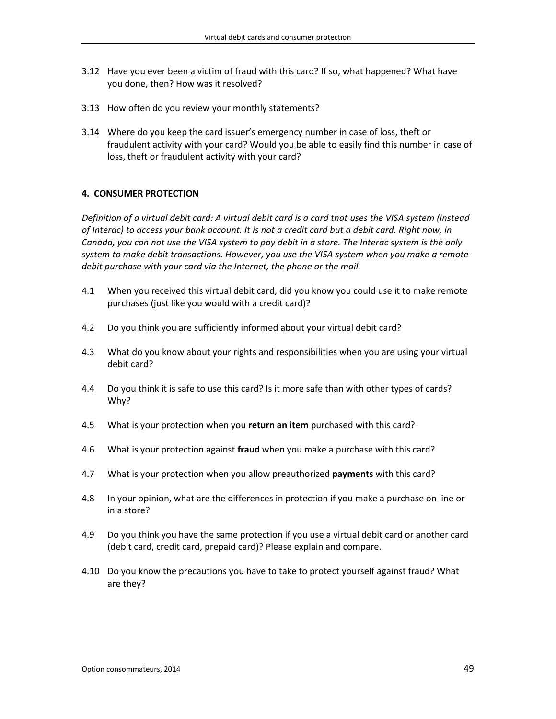- 3.12 Have you ever been a victim of fraud with this card? If so, what happened? What have you done, then? How was it resolved?
- 3.13 How often do you review your monthly statements?
- 3.14 Where do you keep the card issuer's emergency number in case of loss, theft or fraudulent activity with your card? Would you be able to easily find this number in case of loss, theft or fraudulent activity with your card?

### **4. CONSUMER PROTECTION**

*Definition of a virtual debit card: A virtual debit card is a card that uses the VISA system (instead of Interac) to access your bank account. It is not a credit card but a debit card. Right now, in Canada, you can not use the VISA system to pay debit in a store. The Interac system is the only system to make debit transactions. However, you use the VISA system when you make a remote debit purchase with your card via the Internet, the phone or the mail.* 

- 4.1 When you received this virtual debit card, did you know you could use it to make remote purchases (just like you would with a credit card)?
- 4.2 Do you think you are sufficiently informed about your virtual debit card?
- 4.3 What do you know about your rights and responsibilities when you are using your virtual debit card?
- 4.4 Do you think it is safe to use this card? Is it more safe than with other types of cards? Why?
- 4.5 What is your protection when you **return an item** purchased with this card?
- 4.6 What is your protection against **fraud** when you make a purchase with this card?
- 4.7 What is your protection when you allow preauthorized **payments** with this card?
- 4.8 In your opinion, what are the differences in protection if you make a purchase on line or in a store?
- 4.9 Do you think you have the same protection if you use a virtual debit card or another card (debit card, credit card, prepaid card)? Please explain and compare.
- 4.10 Do you know the precautions you have to take to protect yourself against fraud? What are they?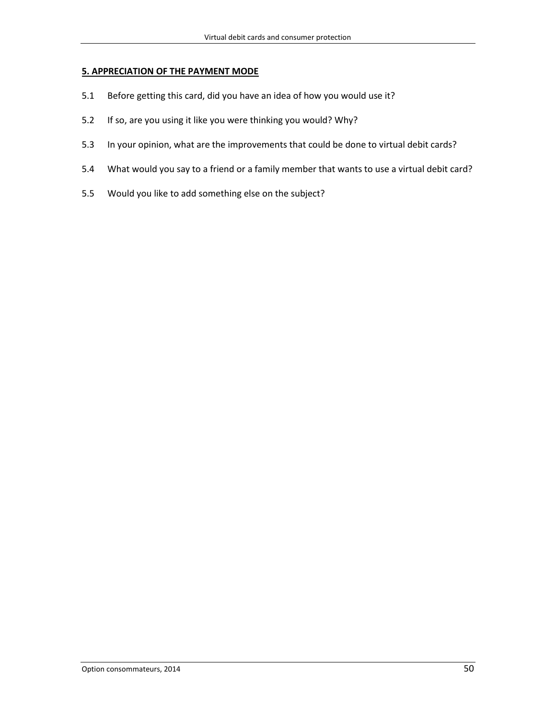#### **5. APPRECIATION OF THE PAYMENT MODE**

- 5.1 Before getting this card, did you have an idea of how you would use it?
- 5.2 If so, are you using it like you were thinking you would? Why?
- 5.3 In your opinion, what are the improvements that could be done to virtual debit cards?
- 5.4 What would you say to a friend or a family member that wants to use a virtual debit card?
- 5.5 Would you like to add something else on the subject?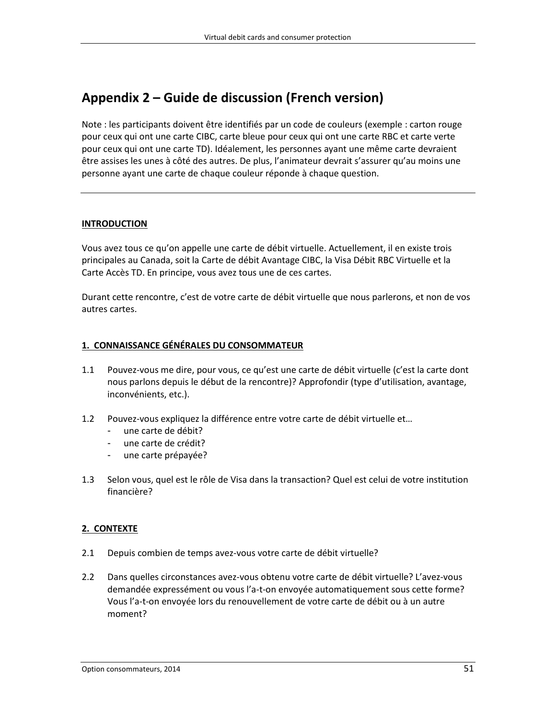## <span id="page-50-0"></span>**Appendix 2 – Guide de discussion (French version)**

Note : les participants doivent être identifiés par un code de couleurs (exemple : carton rouge pour ceux qui ont une carte CIBC, carte bleue pour ceux qui ont une carte RBC et carte verte pour ceux qui ont une carte TD). Idéalement, les personnes ayant une même carte devraient être assises les unes à côté des autres. De plus, l'animateur devrait s'assurer qu'au moins une personne ayant une carte de chaque couleur réponde à chaque question.

### **INTRODUCTION**

Vous avez tous ce qu'on appelle une carte de débit virtuelle. Actuellement, il en existe trois principales au Canada, soit la Carte de débit Avantage CIBC, la Visa Débit RBC Virtuelle et la Carte Accès TD. En principe, vous avez tous une de ces cartes.

Durant cette rencontre, c'est de votre carte de débit virtuelle que nous parlerons, et non de vos autres cartes.

#### **1. CONNAISSANCE GÉNÉRALES DU CONSOMMATEUR**

- 1.1 Pouvez-vous me dire, pour vous, ce qu'est une carte de débit virtuelle (c'est la carte dont nous parlons depuis le début de la rencontre)? Approfondir (type d'utilisation, avantage, inconvénients, etc.).
- 1.2 Pouvez-vous expliquez la différence entre votre carte de débit virtuelle et…
	- une carte de débit?
	- une carte de crédit?
	- une carte prépayée?
- 1.3 Selon vous, quel est le rôle de Visa dans la transaction? Quel est celui de votre institution financière?

### **2. CONTEXTE**

- 2.1 Depuis combien de temps avez-vous votre carte de débit virtuelle?
- 2.2 Dans quelles circonstances avez-vous obtenu votre carte de débit virtuelle? L'avez-vous demandée expressément ou vous l'a-t-on envoyée automatiquement sous cette forme? Vous l'a-t-on envoyée lors du renouvellement de votre carte de débit ou à un autre moment?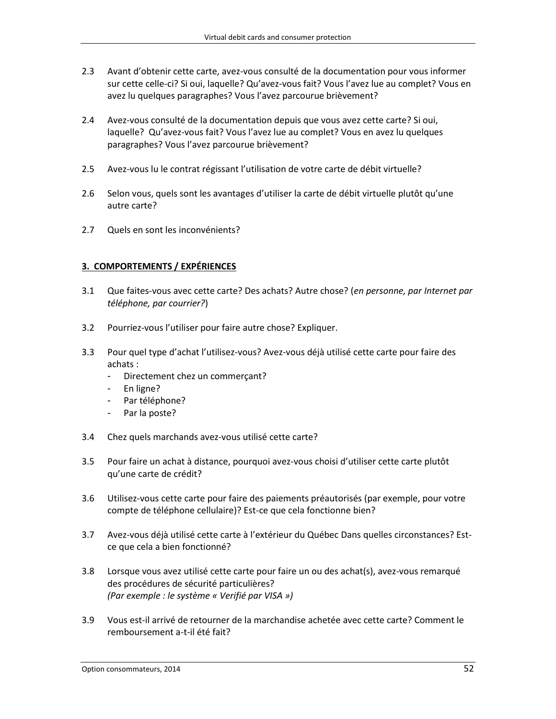- 2.3 Avant d'obtenir cette carte, avez-vous consulté de la documentation pour vous informer sur cette celle-ci? Si oui, laquelle? Qu'avez-vous fait? Vous l'avez lue au complet? Vous en avez lu quelques paragraphes? Vous l'avez parcourue brièvement?
- 2.4 Avez-vous consulté de la documentation depuis que vous avez cette carte? Si oui, laquelle? Qu'avez-vous fait? Vous l'avez lue au complet? Vous en avez lu quelques paragraphes? Vous l'avez parcourue brièvement?
- 2.5 Avez-vous lu le contrat régissant l'utilisation de votre carte de débit virtuelle?
- 2.6 Selon vous, quels sont les avantages d'utiliser la carte de débit virtuelle plutôt qu'une autre carte?
- 2.7 Quels en sont les inconvénients?

### **3. COMPORTEMENTS / EXPÉRIENCES**

- 3.1 Que faites-vous avec cette carte? Des achats? Autre chose? (*en personne, par Internet par téléphone, par courrier?*)
- 3.2 Pourriez-vous l'utiliser pour faire autre chose? Expliquer.
- 3.3 Pour quel type d'achat l'utilisez-vous? Avez-vous déjà utilisé cette carte pour faire des achats :
	- Directement chez un commerçant?
	- En ligne?
	- Par téléphone?
	- Par la poste?
- 3.4 Chez quels marchands avez-vous utilisé cette carte?
- 3.5 Pour faire un achat à distance, pourquoi avez-vous choisi d'utiliser cette carte plutôt qu'une carte de crédit?
- 3.6 Utilisez-vous cette carte pour faire des paiements préautorisés (par exemple, pour votre compte de téléphone cellulaire)? Est-ce que cela fonctionne bien?
- 3.7 Avez-vous déjà utilisé cette carte à l'extérieur du Québec Dans quelles circonstances? Estce que cela a bien fonctionné?
- 3.8 Lorsque vous avez utilisé cette carte pour faire un ou des achat(s), avez-vous remarqué des procédures de sécurité particulières? *(Par exemple : le système « Verifié par VISA »)*
- 3.9 Vous est-il arrivé de retourner de la marchandise achetée avec cette carte? Comment le remboursement a-t-il été fait?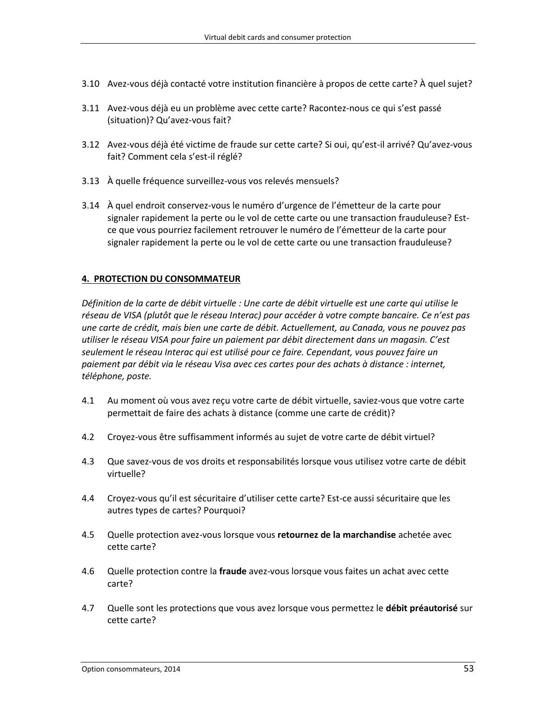- 3.10 Avez-vous déjà contacté votre institution financière à propos de cette carte? À quel sujet?
- 3.11 Avez-vous déjà eu un problème avec cette carte? Racontez-nous ce qui s'est passé (situation)? Qu'avez-vous fait?
- 3.12 Avez-vous déjà été victime de fraude sur cette carte? Si oui, qu'est-il arrivé? Qu'avez-vous fait? Comment cela s'est-il réglé?
- 3.13 À quelle fréquence surveillez-vous vos relevés mensuels?
- 3.14 À quel endroit conservez-vous le numéro d'urgence de l'émetteur de la carte pour signaler rapidement la perte ou le vol de cette carte ou une transaction frauduleuse? Estce que vous pourriez facilement retrouver le numéro de l'émetteur de la carte pour signaler rapidement la perte ou le vol de cette carte ou une transaction frauduleuse?

#### **4. PROTECTION DU CONSOMMATEUR**

*Définition de la carte de débit virtuelle : Une carte de débit virtuelle est une carte qui utilise le réseau de VISA (plutôt que le réseau Interac) pour accéder à votre compte bancaire. Ce n'est pas une carte de crédit, mais bien une carte de débit. Actuellement, au Canada, vous ne pouvez pas utiliser le réseau VISA pour faire un paiement par débit directement dans un magasin. C'est seulement le réseau Interac qui est utilisé pour ce faire. Cependant, vous pouvez faire un paiement par débit via le réseau Visa avec ces cartes pour des achats à distance : internet, téléphone, poste.*

- 4.1 Au moment où vous avez reçu votre carte de débit virtuelle, saviez-vous que votre carte permettait de faire des achats à distance (comme une carte de crédit)?
- 4.2 Croyez-vous être suffisamment informés au sujet de votre carte de débit virtuel?
- 4.3 Que savez-vous de vos droits et responsabilités lorsque vous utilisez votre carte de débit virtuelle?
- 4.4 Croyez-vous qu'il est sécuritaire d'utiliser cette carte? Est-ce aussi sécuritaire que les autres types de cartes? Pourquoi?
- 4.5 Quelle protection avez-vous lorsque vous **retournez de la marchandise** achetée avec cette carte?
- 4.6 Quelle protection contre la **fraude** avez-vous lorsque vous faites un achat avec cette carte?
- 4.7 Quelle sont les protections que vous avez lorsque vous permettez le **débit préautorisé** sur cette carte?